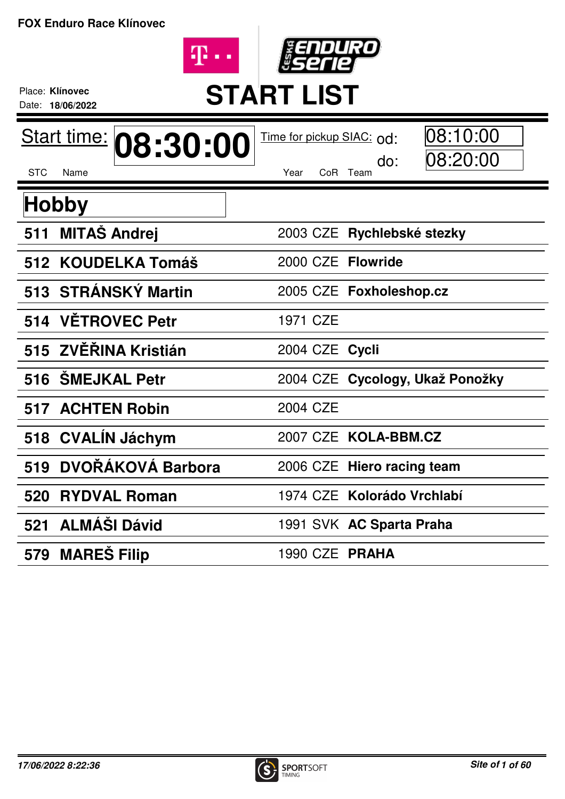



## Place: **Klínovec**<br>Date: 18/06/2022<br>**START LIST**

Date: **18/06/2022**

| Start time: 08:30:00        | 08:10:00<br>Time for pickup SIAC: od: |
|-----------------------------|---------------------------------------|
| <b>STC</b><br>Name          | 08:20:00<br>do:<br>CoR Team<br>Year   |
| Hobby                       |                                       |
| <b>MITAŠ Andrej</b><br>511  | 2003 CZE Rychlebské stezky            |
| 512 KOUDELKA Tomáš          | 2000 CZE Flowride                     |
| 513 STRÁNSKÝ Martin         | 2005 CZE Foxholeshop.cz               |
| <b>VETROVEC Petr</b><br>514 | 1971 CZE                              |
| 515 ZVĚŘINA Kristián        | 2004 CZE Cycli                        |
| <b>SMEJKAL Petr</b><br>516  | 2004 CZE Cycology, Ukaž Ponožky       |
| <b>517 ACHTEN Robin</b>     | 2004 CZE                              |
| CVALÍN Jáchym<br>518        | 2007 CZE KOLA-BBM.CZ                  |
| DVOŘÁKOVÁ Barbora<br>519    | 2006 CZE Hiero racing team            |
| <b>RYDVAL Roman</b><br>520  | 1974 CZE Kolorádo Vrchlabí            |
| 521 ALMÁŠI Dávid            | 1991 SVK AC Sparta Praha              |
| 579 MARES Filip             | 1990 CZE PRAHA                        |

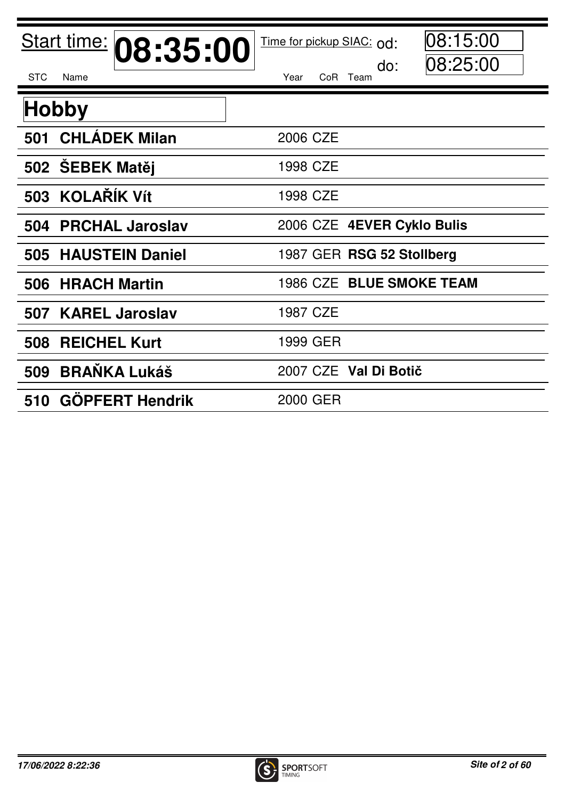| Start time: 08:35:00<br><b>STC</b><br>Name | 08:15:00<br>Time for pickup SIAC: od:<br> 08:25:00<br>do:<br>Year<br>CoR Team |
|--------------------------------------------|-------------------------------------------------------------------------------|
| <b>Hobby</b>                               |                                                                               |
| 501 CHLÁDEK Milan                          | 2006 CZE                                                                      |
| 502 SEBEK Matěj                            | 1998 CZE                                                                      |
| 503 KOLAŘÍK Vít                            | 1998 CZE                                                                      |
| <b>PRCHAL Jaroslav</b><br>504              | 2006 CZE 4EVER Cyklo Bulis                                                    |
| 505 HAUSTEIN Daniel                        | 1987 GER RSG 52 Stollberg                                                     |
| <b>HRACH Martin</b><br>506                 | 1986 CZE BLUE SMOKE TEAM                                                      |
| 507 KAREL Jaroslav                         | 1987 CZE                                                                      |
| <b>REICHEL Kurt</b><br>508                 | 1999 GER                                                                      |
| <b>BRANKA Lukáš</b><br>509                 | 2007 CZE Val Di Botič                                                         |
| 510 GOPFERT Hendrik                        | 2000 GER                                                                      |

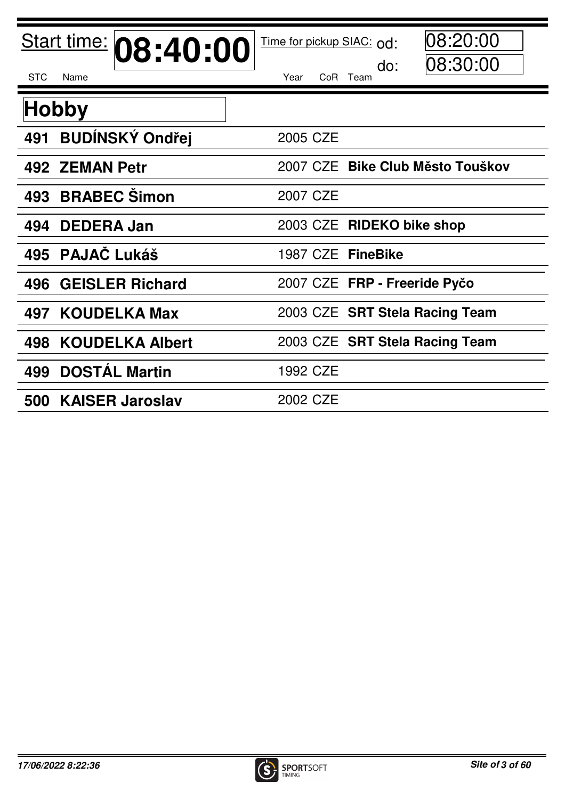| Start time: 08:40:00          | 08:20:00<br>Time for pickup SIAC: od:<br>08:30:00<br>do: |
|-------------------------------|----------------------------------------------------------|
| <b>STC</b><br>Name            | CoR Team<br>Year                                         |
| <b>Hobby</b>                  |                                                          |
| <b>BUDÍNSKÝ Ondřej</b><br>491 | 2005 CZE                                                 |
| 492 ZEMAN Petr                | 2007 CZE Bike Club Město Touškov                         |
| <b>BRABEC Simon</b><br>493    | 2007 CZE                                                 |
| <b>DEDERA Jan</b><br>494      | 2003 CZE RIDEKO bike shop                                |
| 495 PAJAČ Lukáš               | 1987 CZE FineBike                                        |
| <b>GEISLER Richard</b><br>496 | 2007 CZE FRP - Freeride Pyčo                             |
| 497 KOUDELKA Max              | 2003 CZE SRT Stela Racing Team                           |
| 498 KOUDELKA Albert           | 2003 CZE SRT Stela Racing Team                           |
| <b>DOSTÁL Martin</b><br>499   | 1992 CZE                                                 |
| 500 KAISER Jaroslav           | 2002 CZE                                                 |

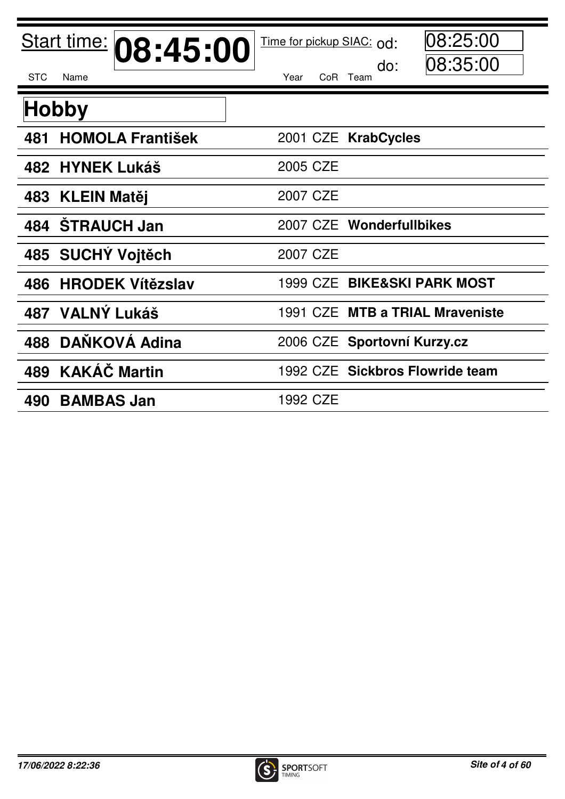| Start time: 08:45:00<br><b>STC</b><br>Name | 08:25:00<br>Time for pickup SIAC: od:<br> 08:35:00<br>do:<br>Year<br>CoR Team |
|--------------------------------------------|-------------------------------------------------------------------------------|
| <b>Hobby</b>                               |                                                                               |
| <b>HOMOLA František</b><br>481             | 2001 CZE KrabCycles                                                           |
| 482 HYNEK Lukáš                            | 2005 CZE                                                                      |
| <b>KLEIN Matěj</b><br>483                  | 2007 CZE                                                                      |
| <b>STRAUCH Jan</b><br>484                  | 2007 CZE Wonderfullbikes                                                      |
| 485 SUCHÝ Vojtěch                          | 2007 CZE                                                                      |
| <b>HRODEK Vítězslav</b><br>486             | 1999 CZE BIKE&SKI PARK MOST                                                   |
| <b>VALNÝ Lukáš</b><br>487                  | 1991 CZE MTB a TRIAL Mraveniste                                               |
| DANKOVÁ Adina<br>488                       | 2006 CZE Sportovní Kurzy.cz                                                   |
| <b>KAKÁČ Martin</b><br>489                 | 1992 CZE Sickbros Flowride team                                               |
| <b>BAMBAS Jan</b><br>490                   | 1992 CZE                                                                      |

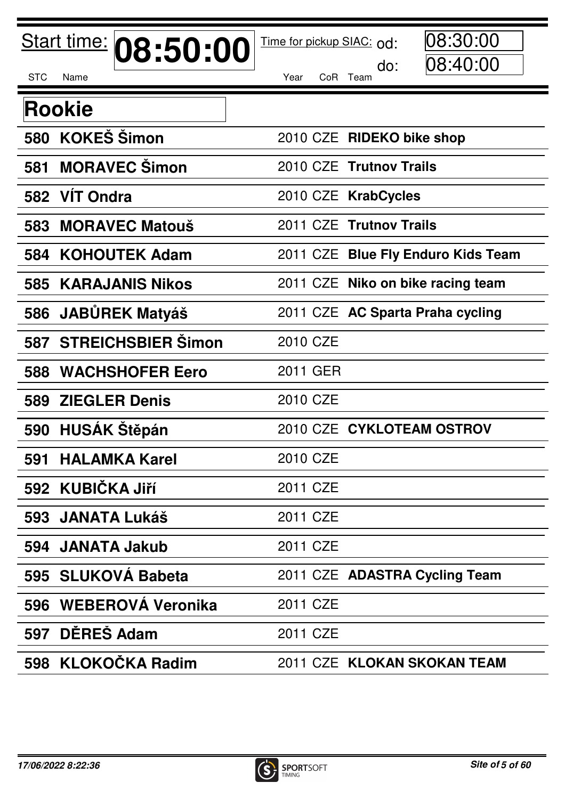|            | Start time:<br>08:50:00   | 08:30:00<br>Time for pickup SIAC: od: |
|------------|---------------------------|---------------------------------------|
| <b>STC</b> | Name                      | 08:40:00<br>do:<br>Year<br>CoR Team   |
|            | <b>Rookie</b>             |                                       |
| 580        | <b>KOKEŠ Šimon</b>        | 2010 CZE RIDEKO bike shop             |
| 581        | <b>MORAVEC Simon</b>      | 2010 CZE Trutnov Trails               |
| 582        | <b>VIT Ondra</b>          | 2010 CZE KrabCycles                   |
| 583        | <b>MORAVEC Matouš</b>     | 2011 CZE Trutnov Trails               |
| 584        | <b>KOHOUTEK Adam</b>      | 2011 CZE Blue Fly Enduro Kids Team    |
| 585        | <b>KARAJANIS Nikos</b>    | 2011 CZE Niko on bike racing team     |
| 586        | <b>JABŮREK Matyáš</b>     | 2011 CZE AC Sparta Praha cycling      |
| 587        | <b>STREICHSBIER Šimon</b> | 2010 CZE                              |
| 588        | <b>WACHSHOFER Eero</b>    | 2011 GER                              |
| 589        | <b>ZIEGLER Denis</b>      | 2010 CZE                              |
| 590        | <b>HUSAK Stěpán</b>       | 2010 CZE CYKLOTEAM OSTROV             |
| 591        | <b>HALAMKA Karel</b>      | 2010 CZE                              |
|            | 592 KUBIČKA Jiří          | 2011 CZE                              |
| 593        | <b>JANATA Lukáš</b>       | 2011 CZE                              |
| 594        | <b>JANATA Jakub</b>       | 2011 CZE                              |
|            | 595 SLUKOVA Babeta        | 2011 CZE ADASTRA Cycling Team         |
| 596        | <b>WEBEROVA Veronika</b>  | 2011 CZE                              |
| 597        | DĚREŠ Adam                | 2011 CZE                              |
| 598        | <b>KLOKOČKA Radim</b>     | 2011 CZE KLOKAN SKOKAN TEAM           |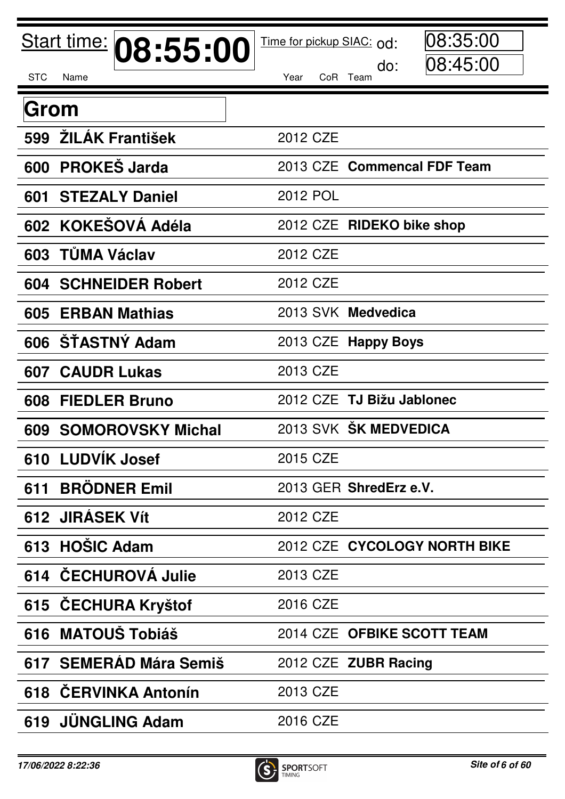|            | Start time:<br>08:55:00     | 08:35:00<br>Time for pickup SIAC: od: |
|------------|-----------------------------|---------------------------------------|
| <b>STC</b> | Name                        | 08:45:00<br>do:<br>CoR Team<br>Year   |
| Grom       |                             |                                       |
| 599        | ŽILÁK František             | 2012 CZE                              |
| 600        | <b>PROKES Jarda</b>         | 2013 CZE Commencal FDF Team           |
| 601        | <b>STEZALY Daniel</b>       | <b>2012 POL</b>                       |
|            | 602 KOKESOVÁ Adéla          | 2012 CZE RIDEKO bike shop             |
|            | 603 TŮMA Václav             | 2012 CZE                              |
|            | <b>604 SCHNEIDER Robert</b> | 2012 CZE                              |
| 605        | <b>ERBAN Mathias</b>        | 2013 SVK Medvedica                    |
|            | 606 ŠTASTNÝ Adam            | 2013 CZE Happy Boys                   |
| 607        | <b>CAUDR Lukas</b>          | 2013 CZE                              |
| 608        | <b>FIEDLER Bruno</b>        | 2012 CZE TJ Bižu Jablonec             |
|            | 609 SOMOROVSKY Michal       | 2013 SVK ŠK MEDVEDICA                 |
|            | 610 LUDVIK Josef            | 2015 CZE                              |
| 611        | <b>BRÖDNER Emil</b>         | 2013 GER ShredErz e.V.                |
|            | 612 JIRASEK Vít             | 2012 CZE                              |
|            | 613 HOŠIC Adam              | 2012 CZE CYCOLOGY NORTH BIKE          |
|            | 614 ČECHUROVÁ Julie         | 2013 CZE                              |
|            | 615 ČECHURA Kryštof         | 2016 CZE                              |
| 616        | <b>MATOUŠ Tobiáš</b>        | 2014 CZE OFBIKE SCOTT TEAM            |
|            | 617 SEMERAD Mára Semiš      | 2012 CZE ZUBR Racing                  |
|            | 618 ČERVINKA Antonín        | 2013 CZE                              |
|            | 619 JUNGLING Adam           | 2016 CZE                              |

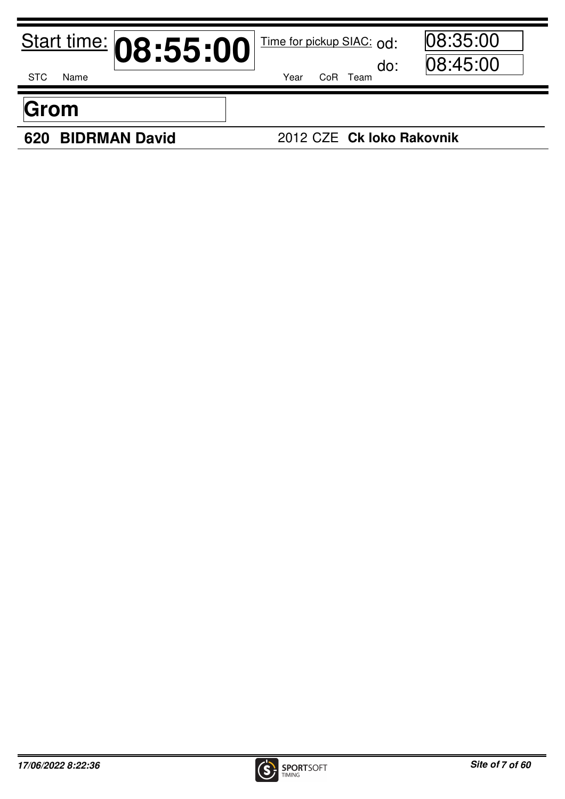|            |      | Start time: 08:55:00 |      | Time for pickup SIAC: Od:<br>do: | 08:35:00<br> 08:45:00 |
|------------|------|----------------------|------|----------------------------------|-----------------------|
| <b>STC</b> | Name |                      | Year | CoR Team                         |                       |
|            |      |                      |      |                                  |                       |
| Grom       |      |                      |      |                                  |                       |

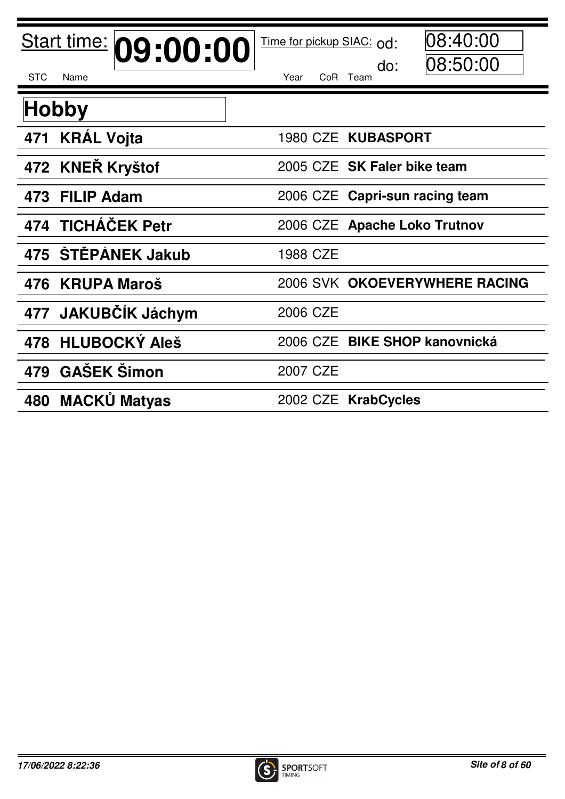| Start time: 09:00:00          | 08:40:00<br>Time for pickup SIAC: od:<br> 08:50:00 |
|-------------------------------|----------------------------------------------------|
| <b>STC</b><br>Name            | do:<br>Year<br>CoR Team                            |
| <b>Hobby</b>                  |                                                    |
| 471 KRÁL Vojta                | 1980 CZE KUBASPORT                                 |
| 472 KNEŘ Kryštof              | 2005 CZE SK Faler bike team                        |
| 473 FILIP Adam                | 2006 CZE Capri-sun racing team                     |
| 474 TICHÁČEK Petr             | 2006 CZE Apache Loko Trutnov                       |
| 475 ŠTĚPÁNEK Jakub            | 1988 CZE                                           |
| 476 KRUPA Maroš               | 2006 SVK OKOEVERYWHERE RACING                      |
| <b>JAKUBČÍK Jáchym</b><br>477 | 2006 CZE                                           |
| 478 HLUBOCKÝ Aleš             | 2006 CZE BIKE SHOP kanovnická                      |
| 479 GAŠEK Šimon               | 2007 CZE                                           |
| <b>MACKŮ Matyas</b><br>480    | 2002 CZE KrabCycles                                |

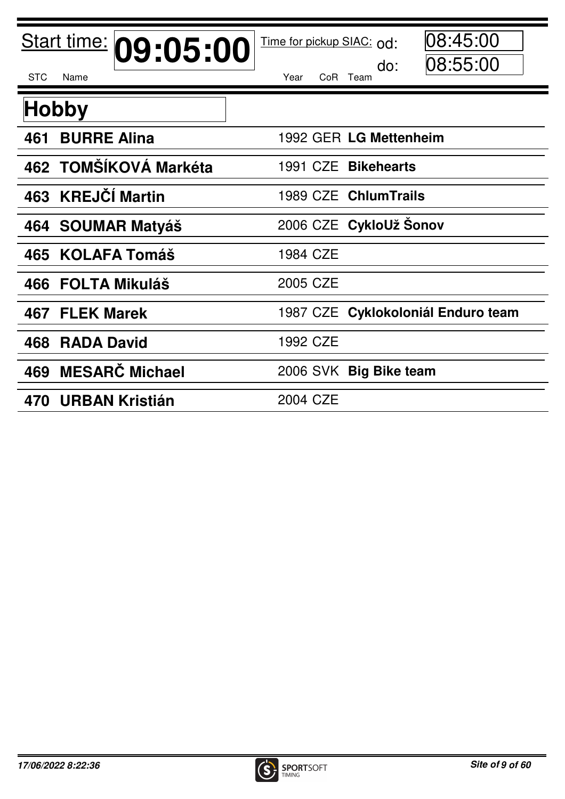| Start time: 09:05:00<br><b>STC</b><br>Name | 08:45:00<br>Time for pickup SIAC: od:<br> 08:55:00<br>do:<br>Year<br>CoR Team |
|--------------------------------------------|-------------------------------------------------------------------------------|
| <b>Hobby</b>                               |                                                                               |
| <b>BURRE Alina</b><br>461                  | 1992 GER LG Mettenheim                                                        |
| 462 TOMŠÍKOVÁ Markéta                      | 1991 CZE Bikehearts                                                           |
| <b>KREJČÍ Martin</b><br>463                | 1989 CZE ChlumTrails                                                          |
| 464 SOUMAR Matyáš                          | 2006 CZE CykloUž Šonov                                                        |
| <b>KOLAFA Tomáš</b><br>465                 | 1984 CZE                                                                      |
| 466 FOLTA Mikuláš                          | 2005 CZE                                                                      |
| <b>FLEK Marek</b><br>467                   | 1987 CZE Cyklokoloniál Enduro team                                            |
| 468<br><b>RADA David</b>                   | 1992 CZE                                                                      |
| <b>MESARC Michael</b><br>469               | 2006 SVK Big Bike team                                                        |
| <b>URBAN Kristián</b><br>470               | 2004 CZE                                                                      |

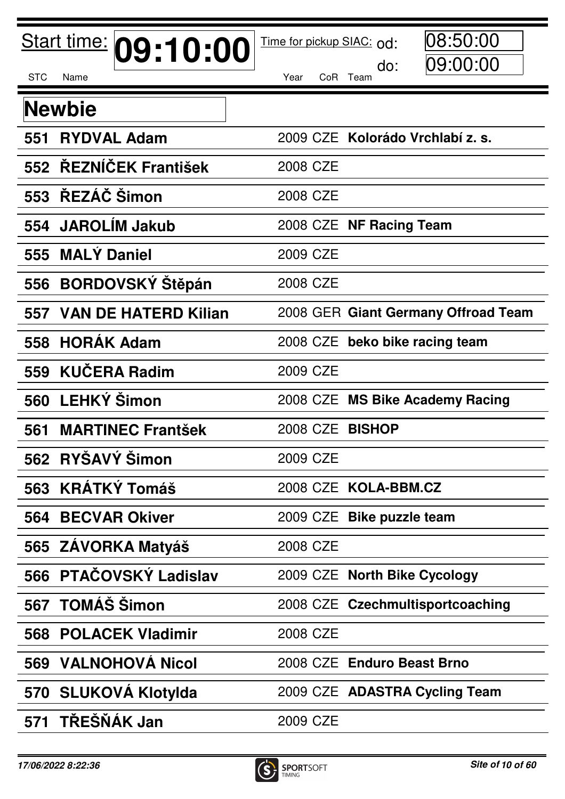|            | Start time: 09:10:00        | 08:50:00<br>Time for pickup SIAC: od: |
|------------|-----------------------------|---------------------------------------|
| <b>STC</b> | Name                        | 09:00:00<br>do:<br>Year<br>CoR Team   |
|            | <b>Newbie</b>               |                                       |
| 551        | <b>RYDVAL Adam</b>          | 2009 CZE Kolorádo Vrchlabí z. s.      |
|            | 552 ŘEZNÍČEK František      | 2008 CZE                              |
|            | 553 ŘEZÁČ Šimon             | 2008 CZE                              |
| 554        | <b>JAROLIM Jakub</b>        | 2008 CZE NF Racing Team               |
|            | 555 MALÝ Daniel             | 2009 CZE                              |
| 556        | <b>BORDOVSKÝ Štěpán</b>     | 2008 CZE                              |
| 557        | <b>VAN DE HATERD Kilian</b> | 2008 GER Giant Germany Offroad Team   |
| 558        | <b>HORAK Adam</b>           | 2008 CZE beko bike racing team        |
| 559        | <b>KUČERA Radim</b>         | 2009 CZE                              |
| 560        | <b>LEHKÝ Šimon</b>          | 2008 CZE MS Bike Academy Racing       |
| 561        | <b>MARTINEC Frantšek</b>    | 2008 CZE<br><b>BISHOP</b>             |
|            | 562 RYŠAVÝ Šimon            | 2009 CZE                              |
|            | 563 KRÁTKÝ Tomáš            | 2008 CZE KOLA-BBM.CZ                  |
| 564        | <b>BECVAR Okiver</b>        | 2009 CZE Bike puzzle team             |
|            | 565 ZAVORKA Matyáš          | 2008 CZE                              |
|            | 566 PTAČOVSKÝ Ladislav      | 2009 CZE North Bike Cycology          |
| 567        | <b>TOMÁŠ Šimon</b>          | 2008 CZE Czechmultisportcoaching      |
|            | <b>568 POLACEK Vladimir</b> | 2008 CZE                              |
| 569        | <b>VALNOHOVÁ Nicol</b>      | 2008 CZE Enduro Beast Brno            |
|            | 570 SLUKOVA Klotylda        | 2009 CZE ADASTRA Cycling Team         |
| 571        | <b>TRESNAK Jan</b>          | 2009 CZE                              |

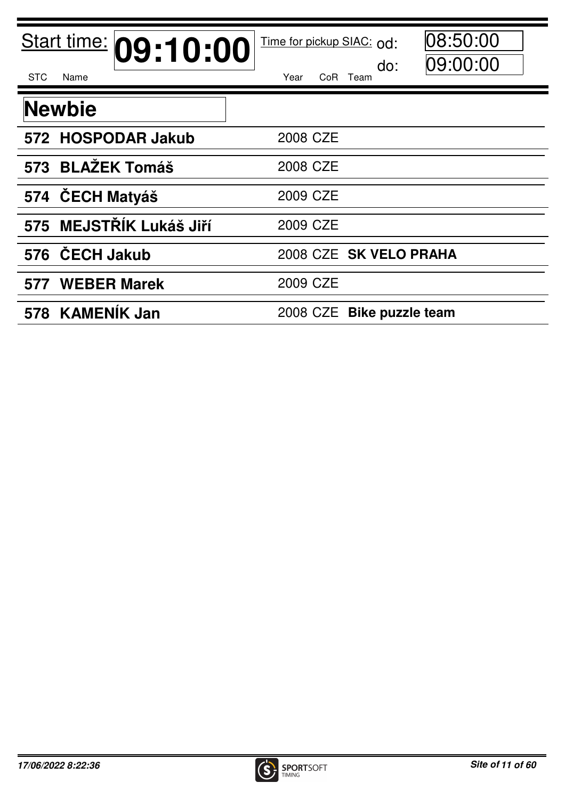| Start time: 09:10:00       | 08:50:00<br>Time for pickup SIAC: od: |
|----------------------------|---------------------------------------|
| <b>STC</b><br>Name         | 09:00:00<br>do:<br>Year<br>CoR Team   |
| <b>Newbie</b>              |                                       |
| 572 HOSPODAR Jakub         | 2008 CZE                              |
| <b>BLAŽEK Tomáš</b><br>573 | 2008 CZE                              |
| 574 ČECH Matyáš            | 2009 CZE                              |
| 575 MEJSTŘÍK Lukáš Jiří    | 2009 CZE                              |
| 576 ČECH Jakub             | 2008 CZE SK VELO PRAHA                |
| 577 WEBER Marek            | 2009 CZE                              |
| 578 KAMENÍK Jan            | 2008 CZE Bike puzzle team             |

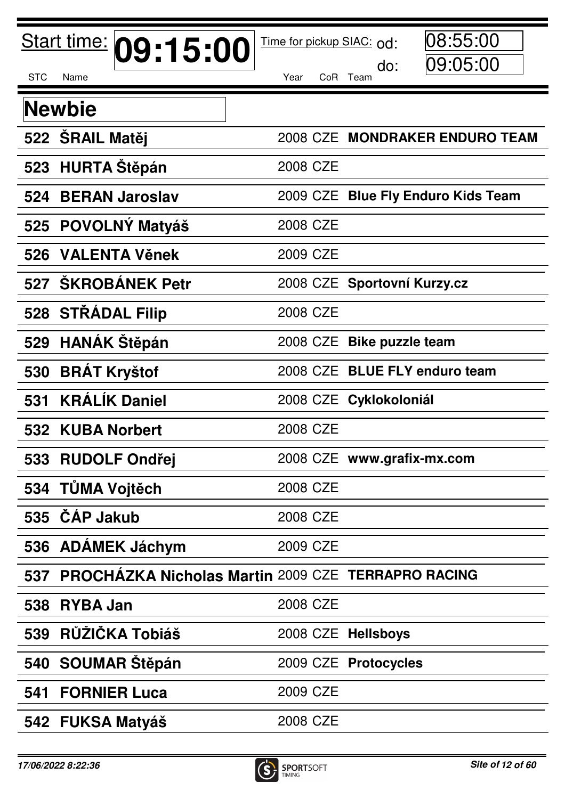|            | Start time:         | 09:15:00                                                  | Time for pickup SIAC: od: | 08:55:00                           |  |
|------------|---------------------|-----------------------------------------------------------|---------------------------|------------------------------------|--|
| <b>STC</b> | Name                |                                                           | Year                      | 09:05:00<br>do:<br>CoR Team        |  |
|            | <b>Newbie</b>       |                                                           |                           |                                    |  |
|            | 522 SRAIL Matěj     |                                                           |                           | 2008 CZE MONDRAKER ENDURO TEAM     |  |
| 523        |                     | <b>HURTA Stěpán</b>                                       | 2008 CZE                  |                                    |  |
| 524        |                     | <b>BERAN Jaroslav</b>                                     |                           | 2009 CZE Blue Fly Enduro Kids Team |  |
|            |                     | 525 POVOLNÝ Matyáš                                        | 2008 CZE                  |                                    |  |
| 526        |                     | <b>VALENTA Věnek</b>                                      | 2009 CZE                  |                                    |  |
| 527        |                     | <b>SKROBANEK Petr</b>                                     |                           | 2008 CZE Sportovní Kurzy.cz        |  |
| 528        |                     | <b>STRADAL Filip</b>                                      | 2008 CZE                  |                                    |  |
| 529        |                     | <b>HANÁK Stěpán</b>                                       | 2008 CZE                  | <b>Bike puzzle team</b>            |  |
| 530        | <b>BRAT Kryštof</b> |                                                           |                           | 2008 CZE BLUE FLY enduro team      |  |
| 531        |                     | <b>KRÁLÍK Daniel</b>                                      |                           | 2008 CZE Cyklokoloniál             |  |
|            | 532 KUBA Norbert    |                                                           | 2008 CZE                  |                                    |  |
|            |                     | 533 RUDOLF Ondřej                                         |                           | 2008 CZE www.grafix-mx.com         |  |
|            | 534 TŮMA Vojtěch    |                                                           | 2008 CZE                  |                                    |  |
| 535        | <b>CAP Jakub</b>    |                                                           | 2008 CZE                  |                                    |  |
|            |                     | 536 ADAMEK Jáchym                                         | 2009 CZE                  |                                    |  |
| 537        |                     | <b>PROCHAZKA Nicholas Martin 2009 CZE TERRAPRO RACING</b> |                           |                                    |  |
| 538        | <b>RYBA Jan</b>     |                                                           | 2008 CZE                  |                                    |  |
| 539        |                     | RŮŽIČKA Tobiáš                                            |                           | 2008 CZE Hellsboys                 |  |
|            |                     | 540 SOUMAR Stěpán                                         |                           | 2009 CZE Protocycles               |  |
| 541        |                     | <b>FORNIER Luca</b>                                       | 2009 CZE                  |                                    |  |
|            |                     | 542 FUKSA Matyáš                                          | 2008 CZE                  |                                    |  |

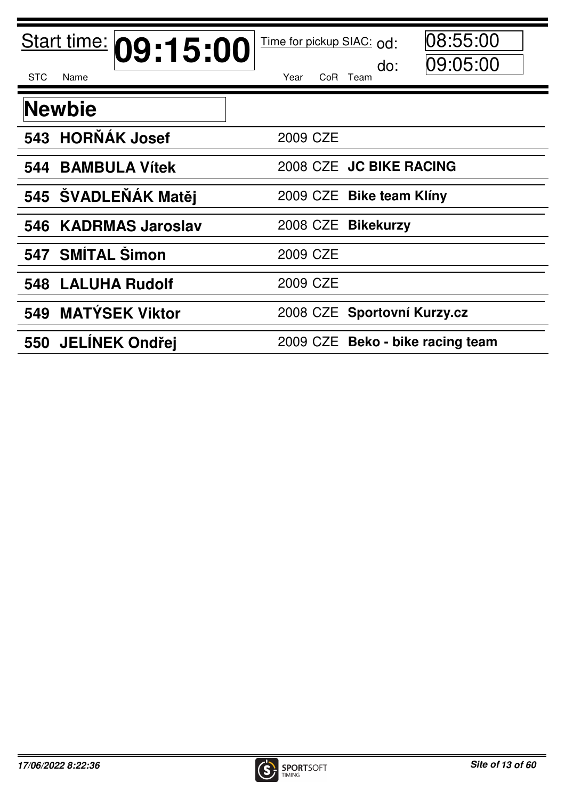| Start time: 09:15:00        | 08:55:00<br>Time for pickup SIAC: od: |
|-----------------------------|---------------------------------------|
| <b>STC</b><br>Name          | 09:05:00<br>do:<br>CoR Team<br>Year   |
| <b>Newbie</b>               |                                       |
| 543 HORŇÁK Josef            | 2009 CZE                              |
| <b>BAMBULA Vítek</b><br>544 | 2008 CZE JC BIKE RACING               |
| 545 ŠVADLEŇÁK Matěj         | 2009 CZE Bike team Klíny              |
| 546 KADRMAS Jaroslav        | 2008 CZE Bikekurzy                    |
| <b>SMÍTAL Šimon</b><br>547  | 2009 CZE                              |
| <b>LALUHA Rudolf</b><br>548 | 2009 CZE                              |
| 549 MATÝSEK Viktor          | 2008 CZE Sportovní Kurzy.cz           |
| 550 JELÍNEK Ondřej          | 2009 CZE Beko - bike racing team      |

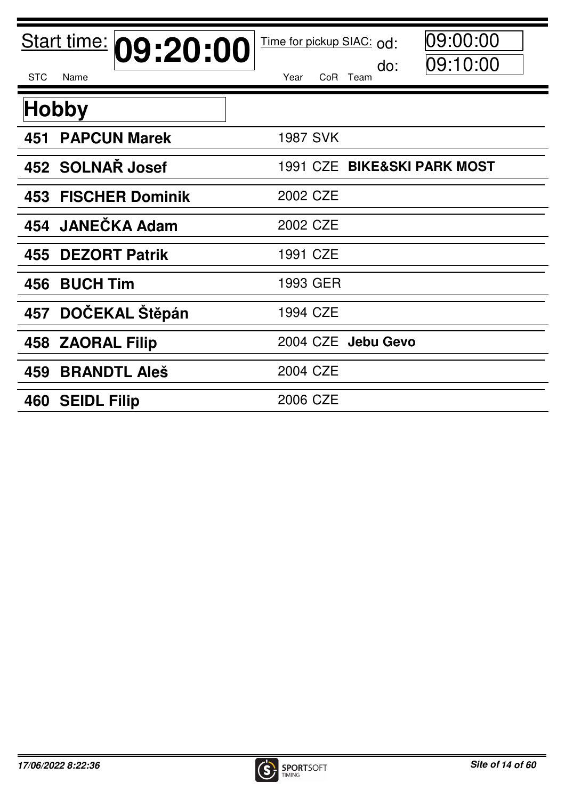| Start time: 09:20:00<br><b>STC</b><br>Name | 09:00:00<br>Time for pickup SIAC: od:<br>09:10:00<br>do:<br>Year<br>CoR Team |
|--------------------------------------------|------------------------------------------------------------------------------|
|                                            |                                                                              |
| <b>Hobby</b>                               |                                                                              |
| <b>PAPCUN Marek</b><br>451                 | <b>1987 SVK</b>                                                              |
| 452 SOLNAR Josef                           | 1991 CZE BIKE&SKI PARK MOST                                                  |
| <b>FISCHER Dominik</b><br>453              | 2002 CZE                                                                     |
| <b>JANEČKA Adam</b><br>454                 | 2002 CZE                                                                     |
| <b>DEZORT Patrik</b><br>455                | 1991 CZE                                                                     |
| <b>BUCH Tim</b><br>456                     | 1993 GER                                                                     |
| DOČEKAL Štěpán<br>457                      | 1994 CZE                                                                     |
| 458 ZAORAL Filip                           | 2004 CZE Jebu Gevo                                                           |
| <b>BRANDTL Aleš</b><br>459                 | 2004 CZE                                                                     |
| 460 SEIDL Filip                            | 2006 CZE                                                                     |

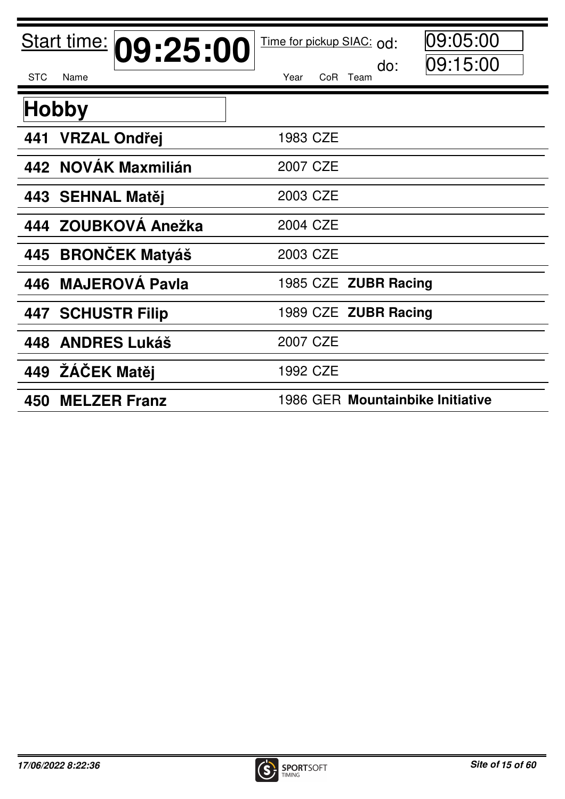| Start time: 09:25:00<br><b>STC</b><br>Name | 09:05:00<br>Time for pickup SIAC: od:<br> 09:15:00<br>do:<br>Year<br>CoR Team |
|--------------------------------------------|-------------------------------------------------------------------------------|
| <b>Hobby</b>                               |                                                                               |
| <b>VRZAL Ondřej</b><br>441                 | 1983 CZE                                                                      |
| 442 NOVÁK Maxmilián                        | 2007 CZE                                                                      |
| 443 SEHNAL Matěj                           | 2003 CZE                                                                      |
| 444 ZOUBKOVÁ Anežka                        | 2004 CZE                                                                      |
| <b>BRONČEK Matyáš</b><br>445               | 2003 CZE                                                                      |
| 446 MAJEROVA Pavla                         | 1985 CZE ZUBR Racing                                                          |
| <b>447 SCHUSTR Filip</b>                   | 1989 CZE ZUBR Racing                                                          |
| 448 ANDRES Lukáš                           | 2007 CZE                                                                      |
| 449 ŽÁČEK Matěj                            | 1992 CZE                                                                      |
| <b>MELZER Franz</b><br>450                 | 1986 GER Mountainbike Initiative                                              |

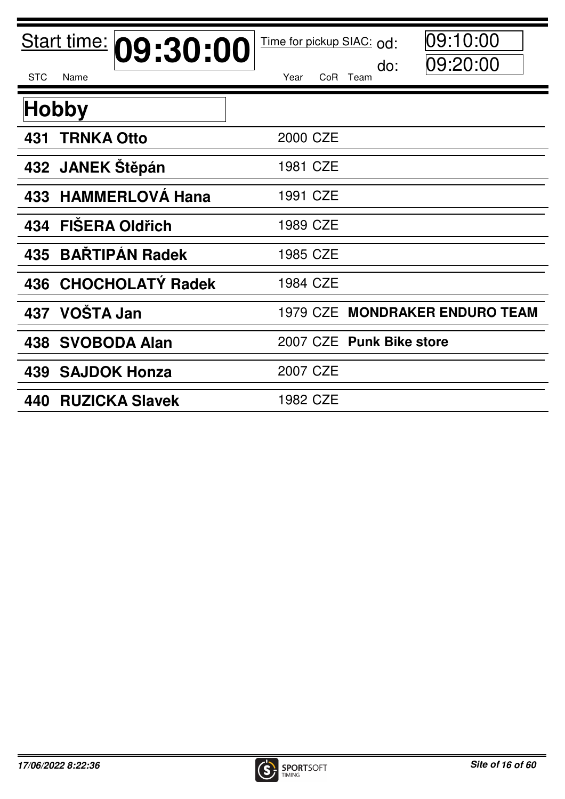| Start time: 09:30:00<br><b>STC</b><br>Name | 09:10:00<br>Time for pickup SIAC: od:<br>09:20:00<br>do:<br>Year<br>CoR Team |
|--------------------------------------------|------------------------------------------------------------------------------|
| <b>Hobby</b>                               |                                                                              |
| <b>TRNKA Otto</b><br>431                   | 2000 CZE                                                                     |
| 432 JANEK Stěpán                           | 1981 CZE                                                                     |
| <b>HAMMERLOVÁ Hana</b><br>433              | 1991 CZE                                                                     |
| <b>FIŠERA Oldřich</b><br>434               | 1989 CZE                                                                     |
| <b>BAŘTIPÁN Radek</b><br>435               | 1985 CZE                                                                     |
| 436 CHOCHOLATÝ Radek                       | 1984 CZE                                                                     |
| 437 VOŠTA Jan                              | 1979 CZE MONDRAKER ENDURO TEAM                                               |
| 438 SVOBODA Alan                           | 2007 CZE Punk Bike store                                                     |
| <b>SAJDOK Honza</b><br>439                 | 2007 CZE                                                                     |
| <b>RUZICKA Slavek</b><br>440               | 1982 CZE                                                                     |

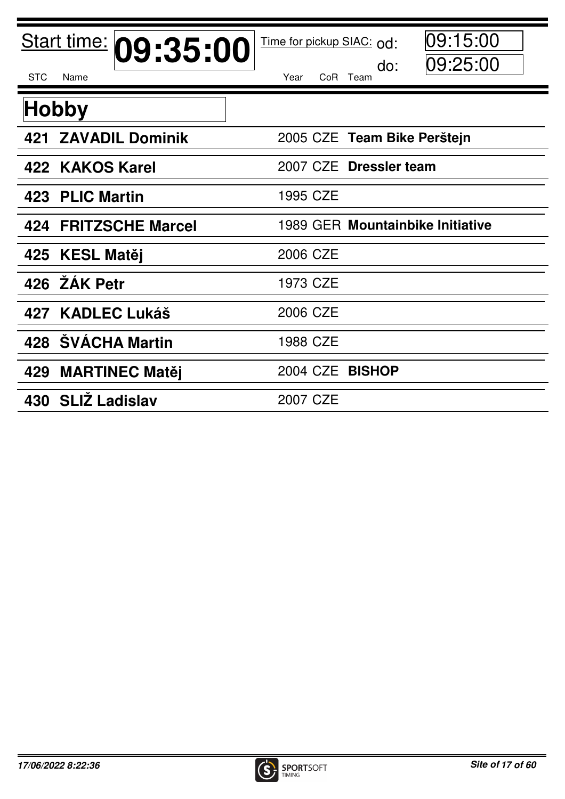| Start time: 09:35:00           | 09:15:00<br>Time for pickup SIAC: od:<br>09:25:00<br>do: |
|--------------------------------|----------------------------------------------------------|
| <b>STC</b><br>Name             | Year<br>CoR Team                                         |
| <b>Hobby</b>                   |                                                          |
| <b>ZAVADIL Dominik</b><br>421  | 2005 CZE Team Bike Perštejn                              |
| 422 KAKOS Karel                | 2007 CZE Dressler team                                   |
| 423 PLIC Martin                | 1995 CZE                                                 |
| <b>FRITZSCHE Marcel</b><br>424 | 1989 GER Mountainbike Initiative                         |
| 425 KESL Matěj                 | 2006 CZE                                                 |
| 426 ŽÁK Petr                   | 1973 CZE                                                 |
| 427 KADLEC Lukáš               | 2006 CZE                                                 |
| 428 SVÁCHA Martin              | 1988 CZE                                                 |
| 429<br><b>MARTINEC Matěj</b>   | 2004 CZE<br><b>BISHOP</b>                                |
| 430 SLIŽ Ladislav              | 2007 CZE                                                 |

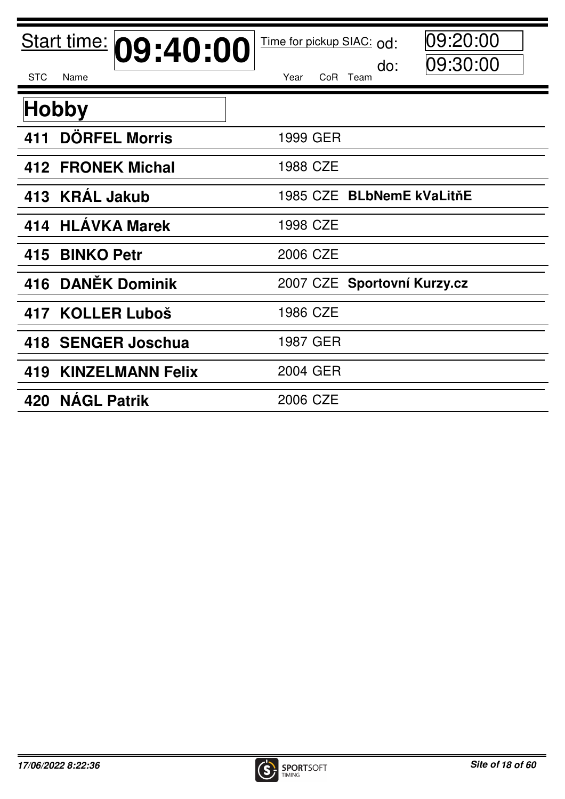| Start time: 09:40:00           | 09:20:00<br>Time for pickup SIAC: od:<br>09:30:00<br>do: |
|--------------------------------|----------------------------------------------------------|
| <b>STC</b><br>Name             | Year<br>CoR Team                                         |
| <b>Hobby</b>                   |                                                          |
| <b>DÖRFEL Morris</b><br>411    | 1999 GER                                                 |
| 412 FRONEK Michal              | 1988 CZE                                                 |
| 413 KRAL Jakub                 | 1985 CZE BLbNemE kVaLitňE                                |
| <b>HLÁVKA Marek</b><br>414     | 1998 CZE                                                 |
| <b>BINKO Petr</b><br>415       | 2006 CZE                                                 |
| <b>DANĚK Dominik</b><br>416    | 2007 CZE Sportovní Kurzy.cz                              |
| 417 KOLLER Luboš               | 1986 CZE                                                 |
| 418 SENGER Joschua             | 1987 GER                                                 |
| <b>KINZELMANN Felix</b><br>419 | 2004 GER                                                 |
| 420 NAGL Patrik                | 2006 CZE                                                 |

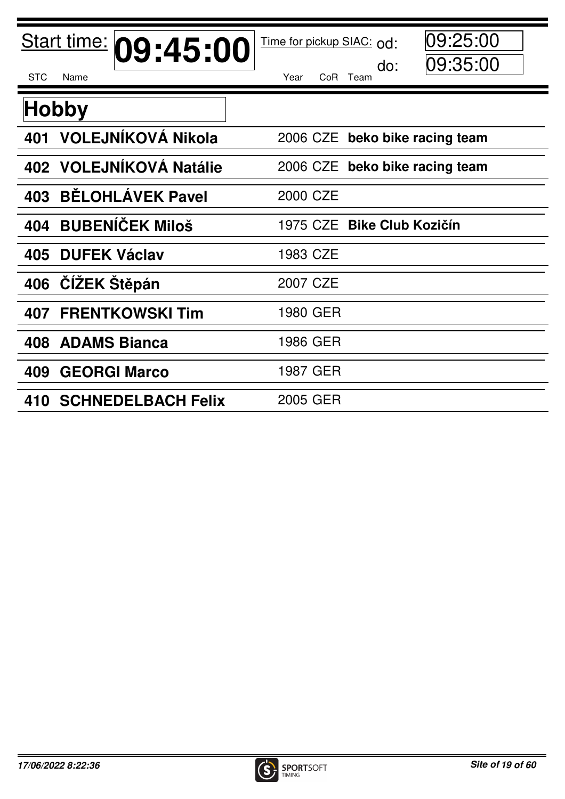| Start time: 09:45:00             | 09:25:00<br>Time for pickup SIAC: od:<br> 09:35:00<br>do: |
|----------------------------------|-----------------------------------------------------------|
| <b>STC</b><br>Name               | CoR Team<br>Year                                          |
| <b>Hobby</b>                     |                                                           |
| VOLEJNÍKOVÁ Nikola<br>401        | 2006 CZE beko bike racing team                            |
| 402 VOLEJNÍKOVÁ Natálie          | beko bike racing team<br>2006 CZE                         |
| <b>BĚLOHLÁVEK Pavel</b><br>403   | 2000 CZE                                                  |
| <b>BUBENÍČEK Miloš</b><br>404    | 1975 CZE Bike Club Kozičín                                |
| <b>DUFEK Václav</b><br>405       | 1983 CZE                                                  |
| ČÍŽEK Štěpán<br>406              | 2007 CZE                                                  |
| <b>FRENTKOWSKI Tim</b><br>407    | 1980 GER                                                  |
| <b>ADAMS Bianca</b><br>408       | 1986 GER                                                  |
| <b>GEORGI Marco</b><br>409       | 1987 GER                                                  |
| <b>SCHNEDELBACH Felix</b><br>410 | 2005 GER                                                  |

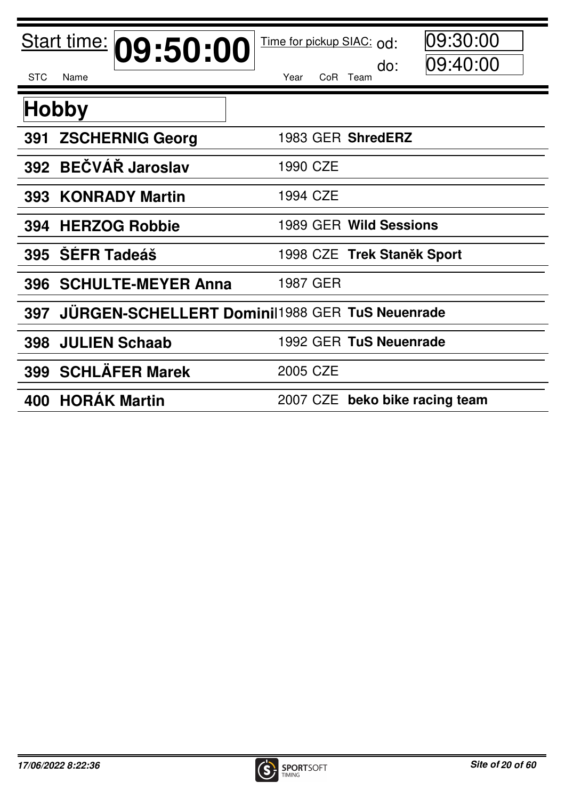| Start time: 09:50:00          | 09:30:00<br>Time for pickup SIAC: od:<br> 09:40:00<br>do: |
|-------------------------------|-----------------------------------------------------------|
| <b>STC</b><br>Name            | Year<br>CoR Team                                          |
| <b>Hobby</b>                  |                                                           |
| <b>ZSCHERNIG Georg</b><br>391 | 1983 GER ShredERZ                                         |
| 392 BEČVÁŘ Jaroslav           | 1990 CZE                                                  |
| <b>KONRADY Martin</b><br>393  | 1994 CZE                                                  |
| <b>HERZOG Robbie</b><br>394   | 1989 GER Wild Sessions                                    |
| <b>SEFR Tadeáš</b><br>395     | 1998 CZE Trek Staněk Sport                                |
| 396 SCHULTE-MEYER Anna        | 1987 GER                                                  |
| 397                           | <b>JÜRGEN-SCHELLERT Domini</b> 1988 GER TuS Neuenrade     |
| <b>JULIEN Schaab</b><br>398   | 1992 GER TuS Neuenrade                                    |
| 399 SCHLÄFER Marek            | 2005 CZE                                                  |
| <b>HORAK Martin</b><br>400    | 2007 CZE beko bike racing team                            |

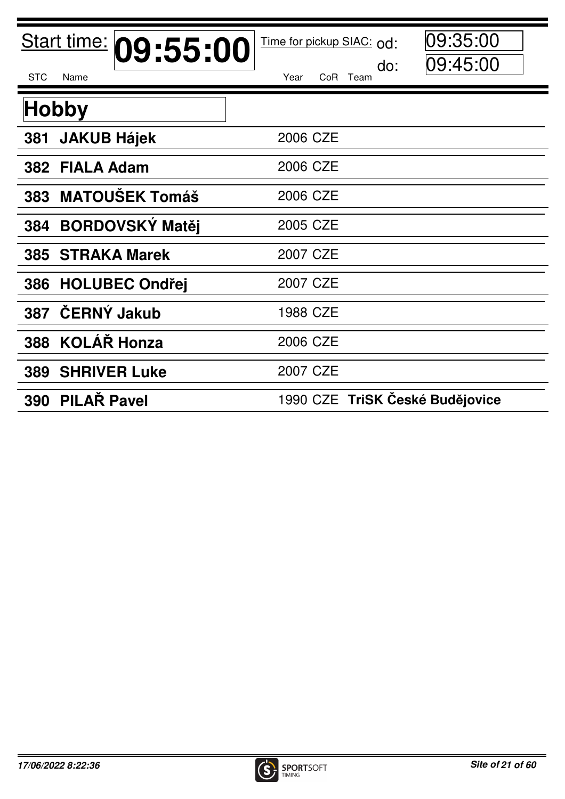| Start time: 09:55:00<br><b>STC</b><br>Name | Time for pickup SIAC: od:<br>do:<br>Year<br>Co <sub>R</sub><br>Team | 09:35:00<br>09:45:00 |
|--------------------------------------------|---------------------------------------------------------------------|----------------------|
| <b>Hobby</b>                               |                                                                     |                      |
| <b>JAKUB Hájek</b><br>381                  | 2006 CZE                                                            |                      |
| <b>FIALA Adam</b><br>382                   | 2006 CZE                                                            |                      |
| 383 MATOUŠEK Tomáš                         | 2006 CZE                                                            |                      |
| <b>BORDOVSKÝ Matěj</b><br>384              | 2005 CZE                                                            |                      |
| <b>385 STRAKA Marek</b>                    | 2007 CZE                                                            |                      |
| <b>HOLUBEC Ondřej</b><br>386               | 2007 CZE                                                            |                      |
| ČERNÝ Jakub<br>387                         | 1988 CZE                                                            |                      |
| 388 KOLÁŘ Honza                            | 2006 CZE                                                            |                      |
| <b>SHRIVER Luke</b><br>389                 | 2007 CZE                                                            |                      |
| <b>PILAR Pavel</b><br>390                  | 1990 CZE TriSK České Budějovice                                     |                      |

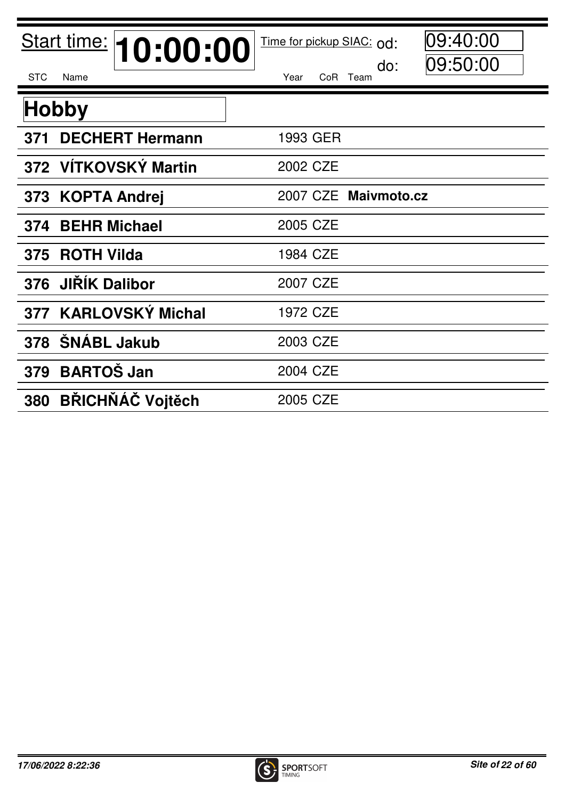| Start time: 10:00:00<br><b>STC</b><br>Name | 09:40:00<br>Time for pickup SIAC: od:<br>09:50:00<br>do:<br>CoR Team<br>Year |
|--------------------------------------------|------------------------------------------------------------------------------|
| <b>Hobby</b>                               |                                                                              |
| <b>DECHERT Hermann</b><br>371              | 1993 GER                                                                     |
| 372 VÍTKOVSKÝ Martin                       | 2002 CZE                                                                     |
| 373 KOPTA Andrei                           | 2007 CZE Maivmoto.cz                                                         |
| <b>BEHR Michael</b><br>374                 | 2005 CZE                                                                     |
| 375 ROTH Vilda                             | 1984 CZE                                                                     |
| <b>JIŘÍK Dalibor</b><br>376                | 2007 CZE                                                                     |
| 377 KARLOVSKÝ Michal                       | 1972 CZE                                                                     |
| 378 SNABL Jakub                            | 2003 CZE                                                                     |
| <b>BARTOŠ Jan</b><br>379                   | 2004 CZE                                                                     |
| <b>BŘICHŇÁČ Vojtěch</b><br>380             | 2005 CZE                                                                     |

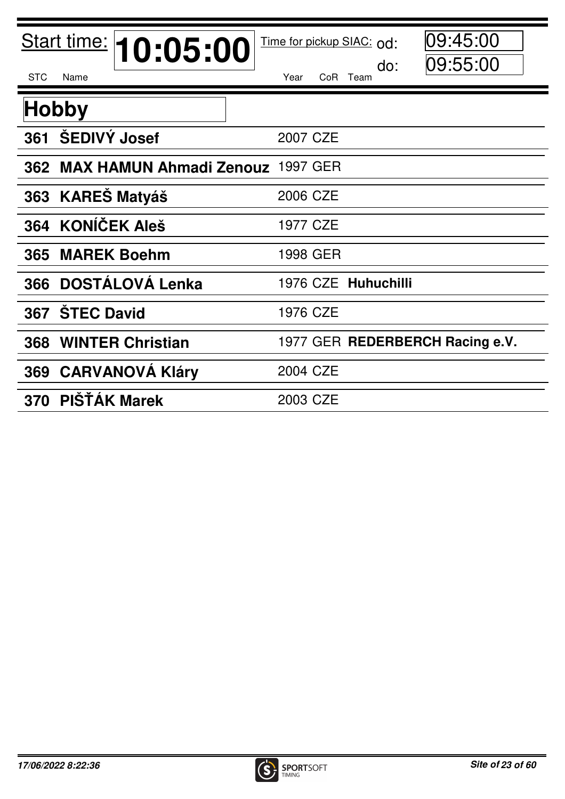| Start time: <b>10:05:00</b><br><b>STC</b><br>Name | 09:45:00<br>Time for pickup SIAC: od:<br> 09:55:00<br>do:<br>Year<br>CoR Team |
|---------------------------------------------------|-------------------------------------------------------------------------------|
| <b>Hobby</b>                                      |                                                                               |
| <b>ŠEDIVÝ Josef</b><br>361                        | 2007 CZE                                                                      |
| 362 MAX HAMUN Ahmadi Zenouz 1997 GER              |                                                                               |
| <b>KAREŠ Matyáš</b><br>363                        | 2006 CZE                                                                      |
| <b>KONÍČEK Aleš</b><br>364                        | 1977 CZE                                                                      |
| <b>MAREK Boehm</b><br>365                         | 1998 GER                                                                      |
| <b>DOSTÁLOVÁ Lenka</b><br>366                     | 1976 CZE Huhuchilli                                                           |
| <b>STEC David</b><br>367                          | 1976 CZE                                                                      |
| <b>WINTER Christian</b><br>368                    | 1977 GER REDERBERCH Racing e.V.                                               |
| 369 CARVANOVÁ Kláry                               | 2004 CZE                                                                      |
| PIŠŤÁK Marek<br>370                               | 2003 CZE                                                                      |

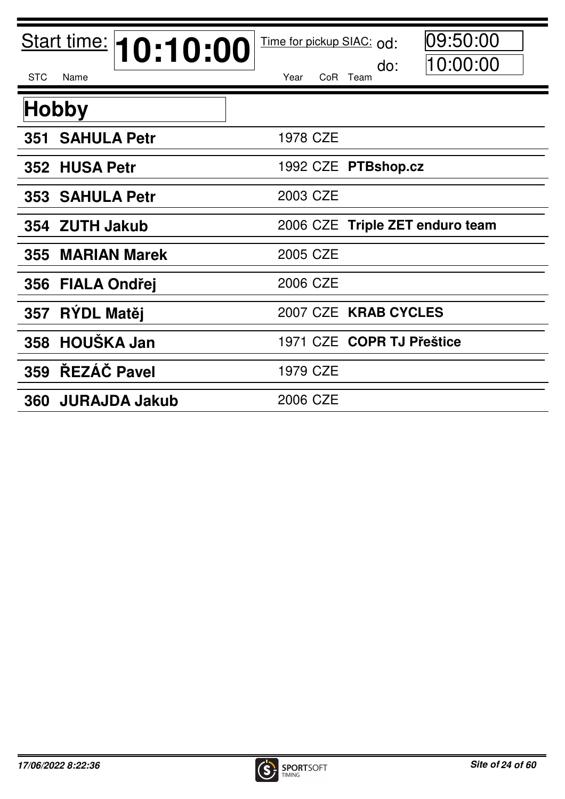| <b>STC</b><br>Name                 | Start time: 10:10:00 | Time for pickup SIAC: od:<br>Year | do:<br>CoR Team           | 09:50:00<br>10:00:00            |
|------------------------------------|----------------------|-----------------------------------|---------------------------|---------------------------------|
| <b>Hobby</b>                       |                      |                                   |                           |                                 |
| <b>SAHULA Petr</b><br>351          |                      | 1978 CZE                          |                           |                                 |
| 352 HUSA Petr                      |                      |                                   | 1992 CZE PTBshop.cz       |                                 |
| <b>353 SAHULA Petr</b>             |                      | 2003 CZE                          |                           |                                 |
| 354 ZUTH Jakub                     |                      |                                   |                           | 2006 CZE Triple ZET enduro team |
| 355 MARIAN Marek                   |                      | 2005 CZE                          |                           |                                 |
| <b>FIALA Ondřej</b><br>356         |                      | 2006 CZE                          |                           |                                 |
| RÝDL Matěj<br>357                  |                      |                                   | 2007 CZE KRAB CYCLES      |                                 |
| 358 HOUŠKA Jan                     |                      |                                   | 1971 CZE COPR TJ Přeštice |                                 |
| ŘEZÁČ Pavel<br>359                 |                      | 1979 CZE                          |                           |                                 |
| <b>JURAJDA Jakub</b><br><b>360</b> |                      | 2006 CZE                          |                           |                                 |

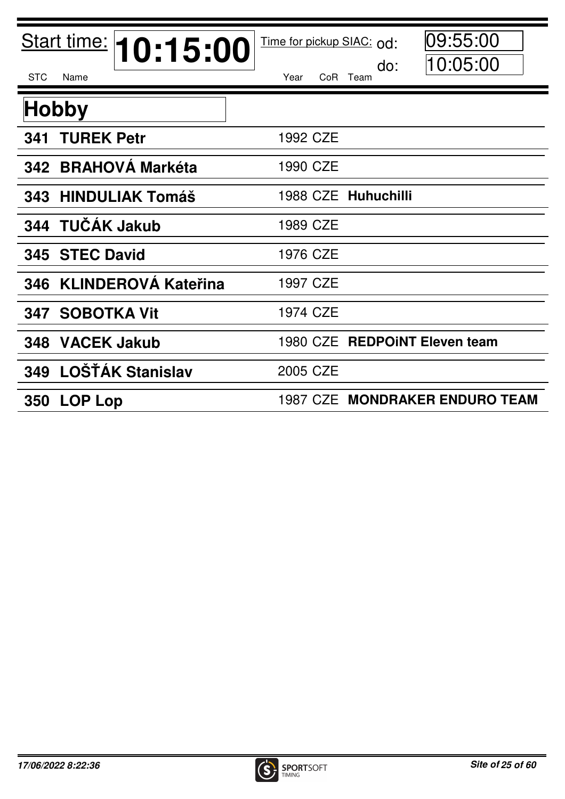| Start time: 10:15:00<br><b>STC</b><br>Name | 09:55:00<br>Time for pickup SIAC: od:<br>10:05:00<br>do:<br>Year<br>CoR Team |
|--------------------------------------------|------------------------------------------------------------------------------|
| <b>Hobby</b>                               |                                                                              |
| <b>TUREK Petr</b><br>341                   | 1992 CZE                                                                     |
| 342 BRAHOVÁ Markéta                        | 1990 CZE                                                                     |
| <b>HINDULIAK Tomáš</b><br>343              | 1988 CZE Huhuchilli                                                          |
| TUČÁK Jakub<br>344                         | 1989 CZE                                                                     |
| <b>STEC David</b><br>345                   | 1976 CZE                                                                     |
| <b>KLINDEROVÁ Kateřina</b><br>346          | 1997 CZE                                                                     |
| <b>SOBOTKA Vit</b><br>347                  | 1974 CZE                                                                     |
| 348 VACEK Jakub                            | 1980 CZE REDPOINT Eleven team                                                |
| LOŠŤÁK Stanislav<br>349                    | 2005 CZE                                                                     |
| <b>LOP Lop</b><br><b>350</b>               | 1987 CZE MONDRAKER ENDURO TEAM                                               |

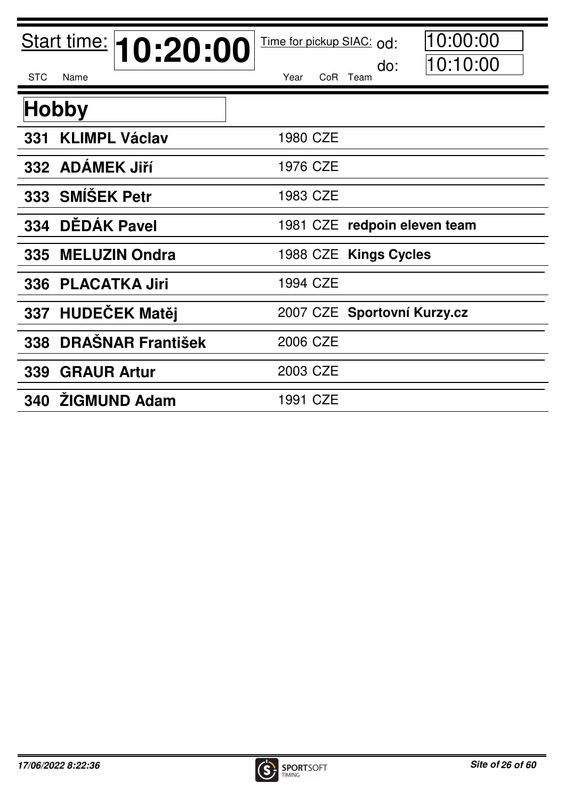| Start time: 10:20:00            | 10:00:00<br>Time for pickup SIAC: od: |
|---------------------------------|---------------------------------------|
| <b>STC</b><br>Name              | 10:10:00<br>do:<br>Year<br>CoR Team   |
| <b>Hobby</b>                    |                                       |
| <b>KLIMPL Václav</b><br>331     | 1980 CZE                              |
| 332 ADAMEK Jiří                 | 1976 CZE                              |
| 333 SMÍŠEK Petr                 | 1983 CZE                              |
| DĚDÁK Pavel<br>334              | 1981 CZE redpoin eleven team          |
| <b>MELUZIN Ondra</b><br>335     | 1988 CZE Kings Cycles                 |
| <b>PLACATKA Jiri</b><br>336     | 1994 CZE                              |
| 337 HUDEČEK Matěj               | 2007 CZE Sportovní Kurzy.cz           |
| <b>DRAŠNAR František</b><br>338 | 2006 CZE                              |
| <b>GRAUR Artur</b><br>339       | 2003 CZE                              |
| 340 ŽIGMUND Adam                | 1991 CZE                              |

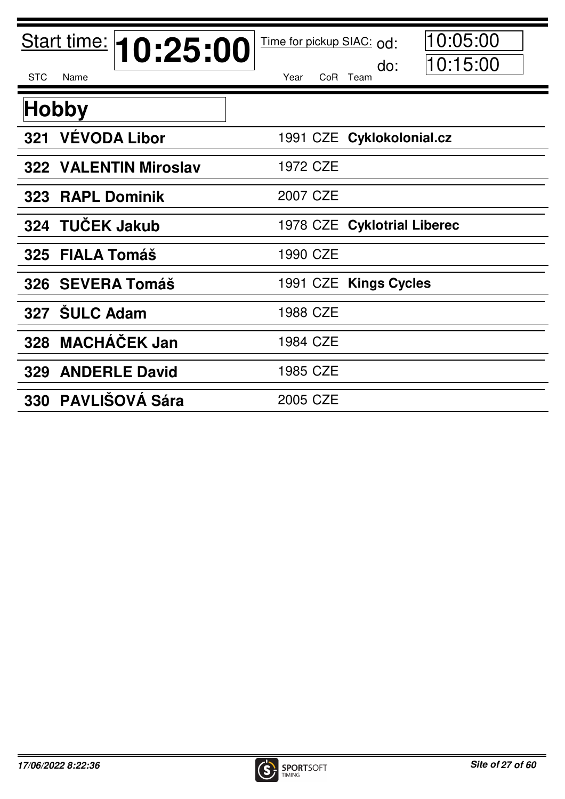| Start time: 10:25:00       | 10:05:00<br>Time for pickup SIAC: od: |
|----------------------------|---------------------------------------|
| <b>STC</b><br>Name         | 10:15:00<br>do:<br>Year<br>CoR Team   |
| <b>Hobby</b>               |                                       |
| <b>VÉVODA Libor</b><br>321 | 1991 CZE Cyklokolonial.cz             |
| 322 VALENTIN Miroslav      | 1972 CZE                              |
| 323 RAPL Dominik           | 2007 CZE                              |
| <b>TUČEK Jakub</b><br>324  | 1978 CZE Cyklotrial Liberec           |
| 325 FIALA Tomáš            | 1990 CZE                              |
| 326 SEVERA Tomáš           | 1991 CZE Kings Cycles                 |
| 327 SULC Adam              | 1988 CZE                              |
| 328 MACHÁČEK Jan           | 1984 CZE                              |
| <b>329 ANDERLE David</b>   | 1985 CZE                              |
| 330 PAVLIŠOVÁ Sára         | 2005 CZE                              |

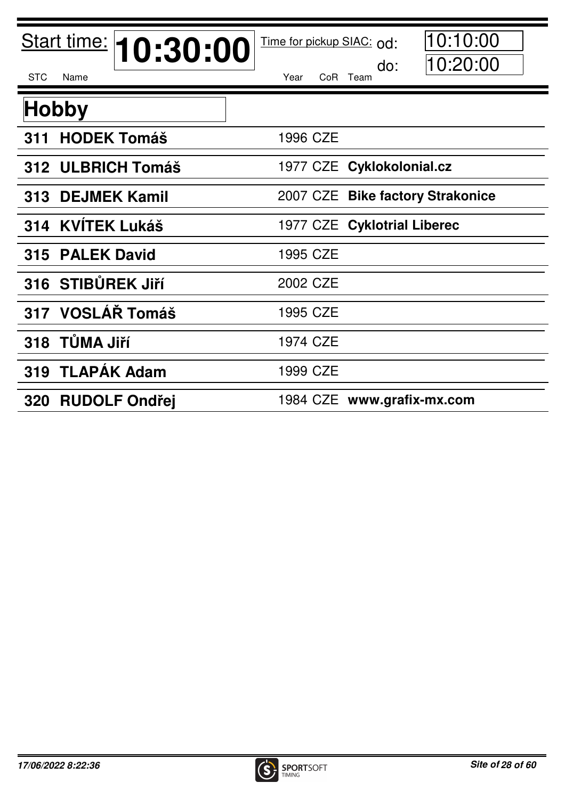| Start time: 10:30:00      | 10:10:00<br>Time for pickup SIAC: od: |
|---------------------------|---------------------------------------|
| <b>STC</b><br>Name        | 10:20:00<br>do:<br>CoR Team<br>Year   |
| <b>Hobby</b>              |                                       |
| <b>HODEK Tomáš</b><br>311 | 1996 CZE                              |
| 312 ULBRICH Tomáš         | 1977 CZE Cyklokolonial.cz             |
| 313 DEJMEK Kamil          | 2007 CZE Bike factory Strakonice      |
| 314 KVÍTEK Lukáš          | 1977 CZE Cyklotrial Liberec           |
| 315 PALEK David           | 1995 CZE                              |
| 316 STIBŮREK JIří         | 2002 CZE                              |
| 317 VOSLÁŘ Tomáš          | 1995 CZE                              |
| 318 TŮMA Jiří             | 1974 CZE                              |
| 319 TLAPAK Adam           | 1999 CZE                              |
| 320 RUDOLF Ondřej         | 1984 CZE www.grafix-mx.com            |

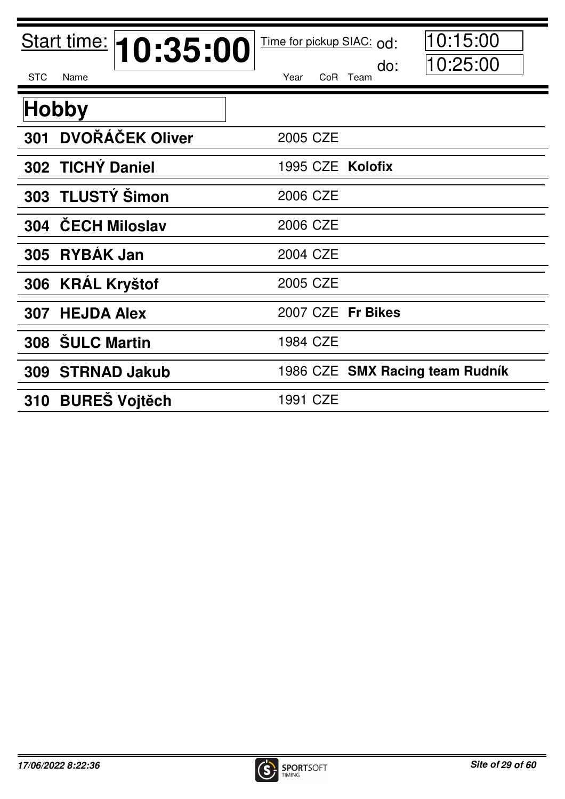| Start time: <b>10:35:00</b>       | 10:15:00<br>Time for pickup SIAC: od: |
|-----------------------------------|---------------------------------------|
| <b>STC</b><br>Name                | 10:25:00<br>do:<br>CoR Team<br>Year   |
| <b>Hobby</b>                      |                                       |
| <b>DVOŘÁČEK Oliver</b><br>301     | 2005 CZE                              |
| 302 TICHY Daniel                  | 1995 CZE Kolofix                      |
| 303 TLUSTÝ Šimon                  | 2006 CZE                              |
| <b>ČECH Miloslav</b><br>304       | 2006 CZE                              |
| <b>RYBÁK Jan</b><br>305           | 2004 CZE                              |
| <b>KRÁL Kryštof</b><br>306        | 2005 CZE                              |
| <b>HEJDA Alex</b><br>307          | 2007 CZE Fr Bikes                     |
| 308 SULC Martin                   | 1984 CZE                              |
| <b>STRNAD Jakub</b><br><b>309</b> | 1986 CZE SMX Racing team Rudník       |
| 310 BUREŠ Vojtěch                 | 1991 CZE                              |

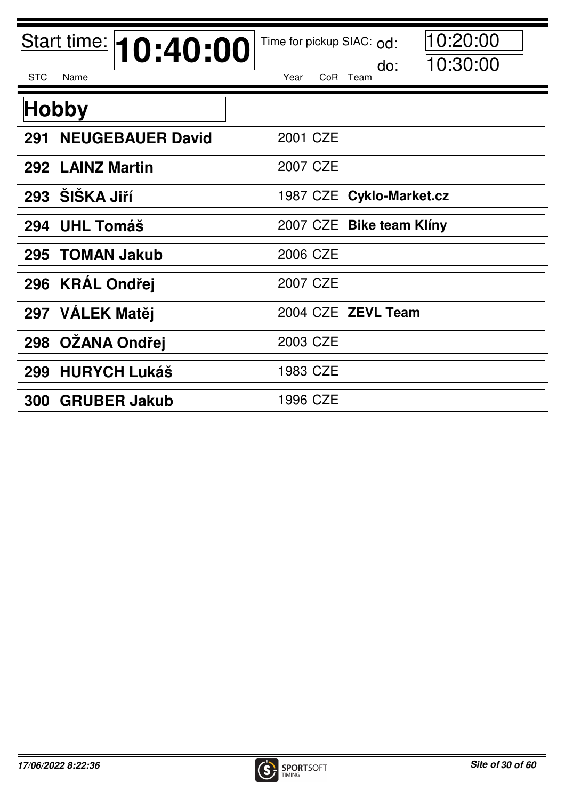| Start time: <b>10:40:00</b><br><b>STC</b><br>Name | 10:20:00<br>Time for pickup SIAC: od:<br>10:30:00<br>do:<br>Year<br>CoR<br>Team |
|---------------------------------------------------|---------------------------------------------------------------------------------|
|                                                   |                                                                                 |
| <b>Hobby</b>                                      |                                                                                 |
| <b>NEUGEBAUER David</b><br>291                    | 2001 CZE                                                                        |
| 292 LAINZ Martin                                  | 2007 CZE                                                                        |
| <b>ŠIŠKA Jiří</b><br>293                          | 1987 CZE Cyklo-Market.cz                                                        |
| <b>UHL Tomáš</b><br>294                           | 2007 CZE Bike team Klíny                                                        |
| <b>TOMAN Jakub</b><br>295                         | 2006 CZE                                                                        |
| 296 KRÁL Ondřej                                   | 2007 CZE                                                                        |
| 297 VÁLEK Matěj                                   | 2004 CZE ZEVL Team                                                              |
| <b>OŽANA Ondřej</b><br>298                        | 2003 CZE                                                                        |
| <b>HURYCH Lukáš</b><br>299                        | 1983 CZE                                                                        |
| <b>GRUBER Jakub</b><br><b>300</b>                 | 1996 CZE                                                                        |

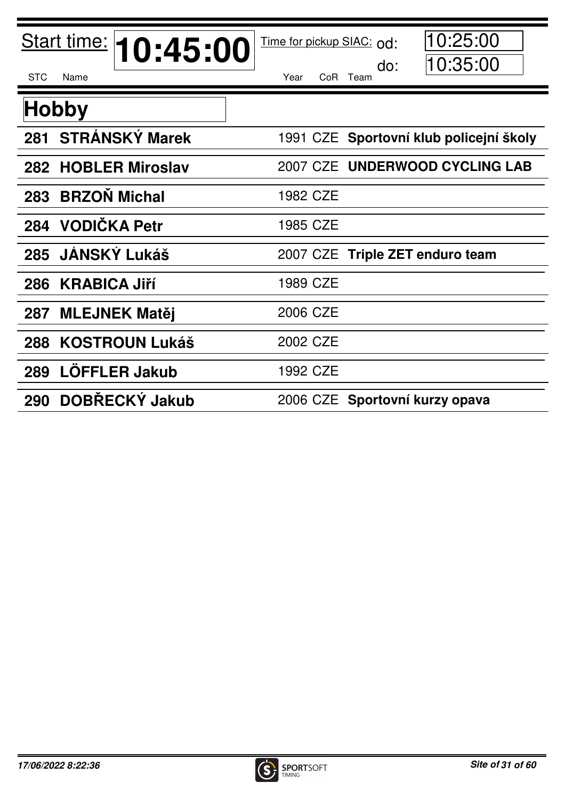| Start time: <b>10:45:00</b>   | 10:25:00<br>Time for pickup SIAC: od:<br>10:35:00<br>do: |
|-------------------------------|----------------------------------------------------------|
| <b>STC</b><br>Name            | CoR Team<br>Year                                         |
| <b>Hobby</b>                  |                                                          |
| 281 STRÁNSKÝ Marek            | 1991 CZE Sportovní klub policejní školy                  |
| <b>HOBLER Miroslav</b><br>282 | 2007 CZE UNDERWOOD CYCLING LAB                           |
| <b>BRZON Michal</b><br>283    | 1982 CZE                                                 |
| <b>VODIČKA Petr</b><br>284    | 1985 CZE                                                 |
| JÁNSKÝ Lukáš<br>285           | 2007 CZE Triple ZET enduro team                          |
| <b>KRABICA Jiří</b><br>286    | 1989 CZE                                                 |
| <b>MLEJNEK Matěj</b><br>287   | 2006 CZE                                                 |
| <b>KOSTROUN Lukáš</b><br>288  | 2002 CZE                                                 |
| <b>LÖFFLER Jakub</b><br>289   | 1992 CZE                                                 |
| <b>DOBŘECKÝ Jakub</b><br>290  | 2006 CZE Sportovní kurzy opava                           |

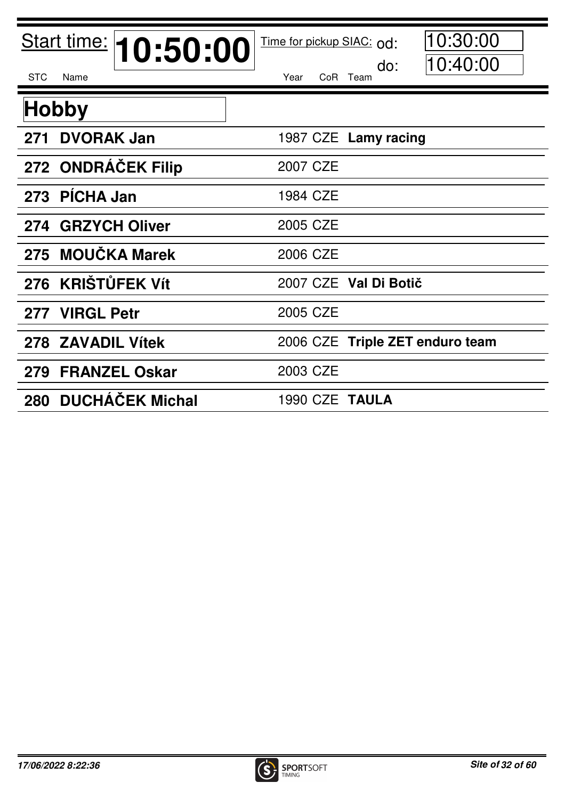| Start time: 10:50:00        | 10:30:00<br>Time for pickup SIAC: od: |
|-----------------------------|---------------------------------------|
| <b>STC</b><br>Name          | 10:40:00<br>do:<br>CoR Team<br>Year   |
| <b>Hobby</b>                |                                       |
| <b>DVORAK Jan</b><br>271    | 1987 CZE Lamy racing                  |
| 272 ONDRACEK Filip          | 2007 CZE                              |
| 273 PICHA Jan               | 1984 CZE                              |
| 274 GRZYCH Oliver           | 2005 CZE                              |
| 275 MOUČKA Marek            | 2006 CZE                              |
| 276 KRIŠTŮFEK Vít           | 2007 CZE Val Di Botič                 |
| <b>VIRGL Petr</b><br>277    | 2005 CZE                              |
| 278 ZAVADIL Vítek           | 2006 CZE Triple ZET enduro team       |
| <b>FRANZEL Oskar</b><br>279 | 2003 CZE                              |
| 280 DUCHÁČEK Michal         | 1990 CZE TAULA                        |

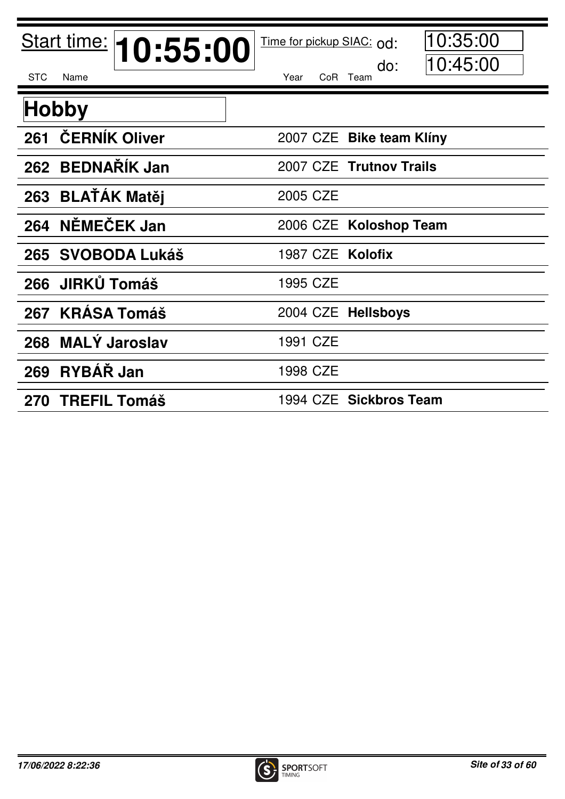| Start time: <b>10:55:00</b> | 10:35:00<br>Time for pickup SIAC: od:<br>10:45:00<br>do: |
|-----------------------------|----------------------------------------------------------|
| <b>STC</b><br>Name          | Year<br>CoR Team                                         |
| <b>Hobby</b>                |                                                          |
| <b>ČERNÍK Oliver</b><br>261 | 2007 CZE Bike team Klíny                                 |
| 262 BEDNAŘÍK Jan            | 2007 CZE Trutnov Trails                                  |
| <b>BLATÁK Matěj</b><br>263  | 2005 CZE                                                 |
| NĚMEČEK Jan<br>264          | 2006 CZE Koloshop Team                                   |
| 265 SVOBODA Lukáš           | 1987 CZE Kolofix                                         |
| <b>JIRKŮ Tomáš</b><br>266   | 1995 CZE                                                 |
| <b>KRÁSA Tomáš</b><br>267   | 2004 CZE Hellsboys                                       |
| <b>MALY Jaroslav</b><br>268 | 1991 CZE                                                 |
| RYBÁŘ Jan<br>269            | 1998 CZE                                                 |
| 270 TREFIL Tomáš            | 1994 CZE Sickbros Team                                   |

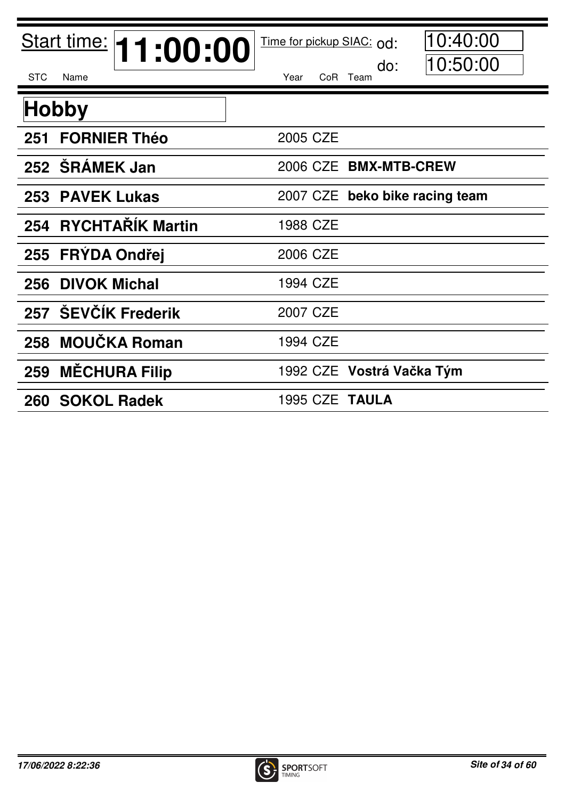| Start time: <b>11:00:00</b> | 10:40:00<br>Time for pickup SIAC: od:<br>10:50:00<br>do: |
|-----------------------------|----------------------------------------------------------|
| <b>STC</b><br>Name          | Year<br>CoR Team                                         |
| <b>Hobby</b>                |                                                          |
| <b>FORNIER Théo</b><br>251  | 2005 CZE                                                 |
| 252 SRÁMEK Jan              | 2006 CZE BMX-MTB-CREW                                    |
| <b>PAVEK Lukas</b><br>253   | 2007 CZE beko bike racing team                           |
| 254 RYCHTAŘÍK Martin        | 1988 CZE                                                 |
| <b>FRÝDA Ondřej</b><br>255  | 2006 CZE                                                 |
| <b>DIVOK Michal</b><br>256  | 1994 CZE                                                 |
| 257 ŠEVČÍK Frederik         | 2007 CZE                                                 |
| <b>MOUČKA Roman</b><br>258  | 1994 CZE                                                 |
| <b>MÉCHURA Filip</b><br>259 | 1992 CZE Vostrá Vačka Tým                                |
| 260 SOKOL Radek             | 1995 CZE TAULA                                           |

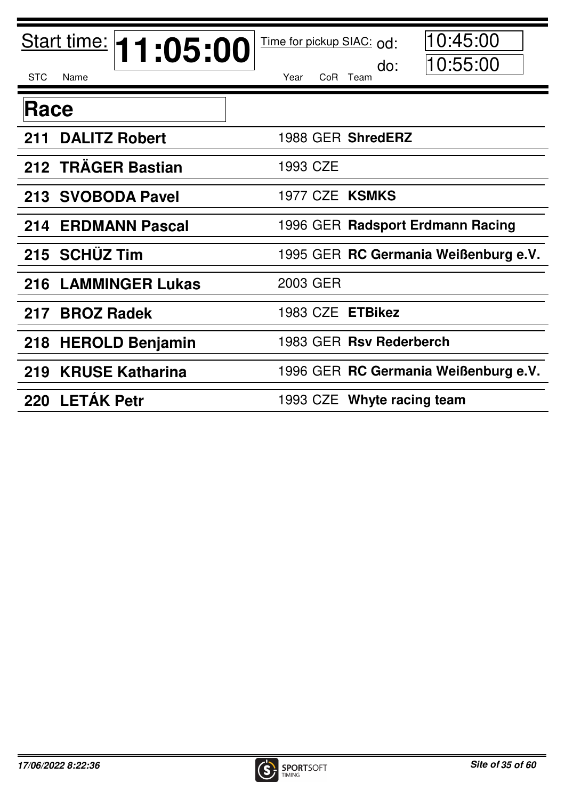| Start time: <b>11:05:00</b>   | 10:45:00<br>Time for pickup SIAC: od: |
|-------------------------------|---------------------------------------|
| <b>STC</b><br>Name            | 10:55:00<br>do:<br>Year<br>CoR Team   |
| Race                          |                                       |
| <b>DALITZ Robert</b><br>211   | 1988 GER ShredERZ                     |
| 212 TRAGER Bastian            | 1993 CZE                              |
| 213 SVOBODA Pavel             | 1977 CZE KSMKS                        |
| <b>ERDMANN Pascal</b><br>214  | 1996 GER Radsport Erdmann Racing      |
| 215 SCHÜZ Tim                 | 1995 GER RC Germania Weißenburg e.V.  |
| <b>216 LAMMINGER Lukas</b>    | 2003 GER                              |
| <b>BROZ Radek</b><br>217      | 1983 CZE ETBikez                      |
| <b>HEROLD Benjamin</b><br>218 | 1983 GER Rsv Rederberch               |
| 219<br><b>KRUSE Katharina</b> | 1996 GER RC Germania Weißenburg e.V.  |
| 220 LETÁK Petr                | 1993 CZE Whyte racing team            |

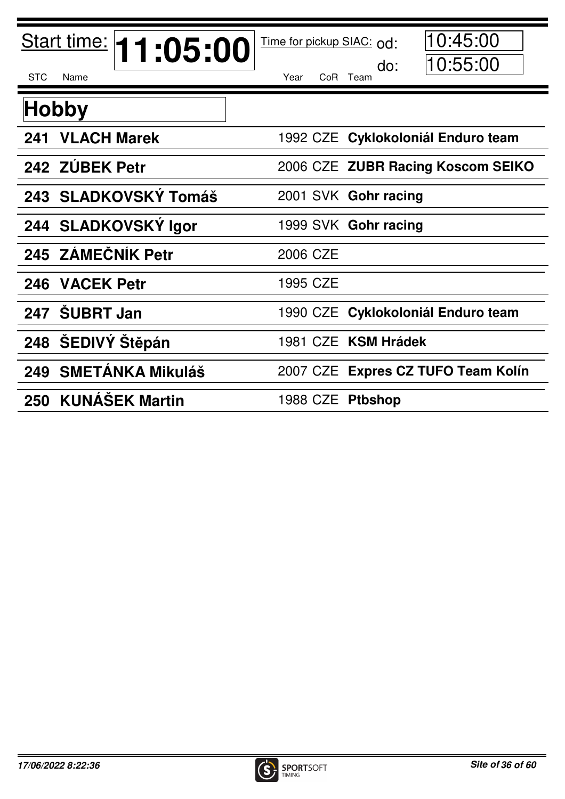| Start time: <b>11:05:00</b>  | 10:45:00<br>Time for pickup SIAC: od: |
|------------------------------|---------------------------------------|
| <b>STC</b><br>Name           | 10:55:00<br>do:<br>Year<br>CoR Team   |
| <b>Hobby</b>                 |                                       |
| <b>VLACH Marek</b><br>241    | 1992 CZE Cyklokoloniál Enduro team    |
| 242 ZÚBEK Petr               | 2006 CZE ZUBR Racing Koscom SEIKO     |
| 243 SLADKOVSKÝ Tomáš         | 2001 SVK Gohr racing                  |
| 244 SLADKOVSKÝ Igor          | 1999 SVK Gohr racing                  |
| 245 ZÁMEČNÍK Petr            | 2006 CZE                              |
| 246 VACEK Petr               | 1995 CZE                              |
| <b>SUBRT Jan</b><br>247      | 1990 CZE Cyklokoloniál Enduro team    |
| 248 ŠEDIVÝ Stěpán            | 1981 CZE KSM Hrádek                   |
| 249 SMETÁNKA Mikuláš         | 2007 CZE Expres CZ TUFO Team Kolín    |
| <b>KUNÁŠEK Martin</b><br>250 | <b>Ptbshop</b><br>1988 CZE            |

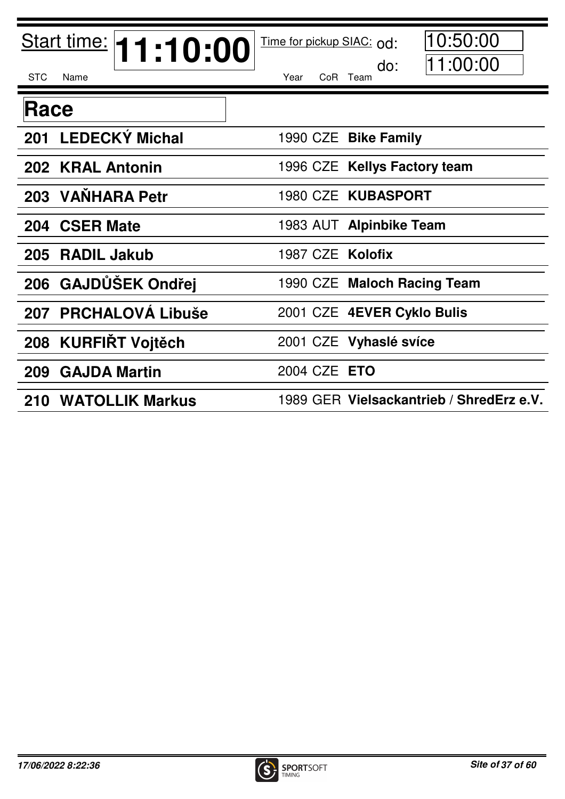| Start time: <b>11:10:00</b>    | 10:50:00<br>Time for pickup SIAC: od:    |
|--------------------------------|------------------------------------------|
| <b>STC</b><br>Name             | 11:00:00<br>do:<br>CoR Team<br>Year      |
| Race                           |                                          |
| 201 LEDECKÝ Michal             | 1990 CZE Bike Family                     |
| 202 KRAL Antonin               | 1996 CZE Kellys Factory team             |
| 203 VANHARA Petr               | 1980 CZE KUBASPORT                       |
| <b>CSER Mate</b><br>204        | 1983 AUT Alpinbike Team                  |
| <b>RADIL Jakub</b><br>205      | 1987 CZE Kolofix                         |
| 206 GAJDŮŠEK Ondřej            | 1990 CZE Maloch Racing Team              |
| <b>PRCHALOVÁ Libuše</b><br>207 | 2001 CZE 4EVER Cyklo Bulis               |
| <b>KURFIRT Vojtěch</b><br>208  | 2001 CZE Vyhaslé svíce                   |
| <b>GAJDA Martin</b><br>209     | 2004 CZE ETO                             |
| <b>210 WATOLLIK Markus</b>     | 1989 GER Vielsackantrieb / ShredErz e.V. |

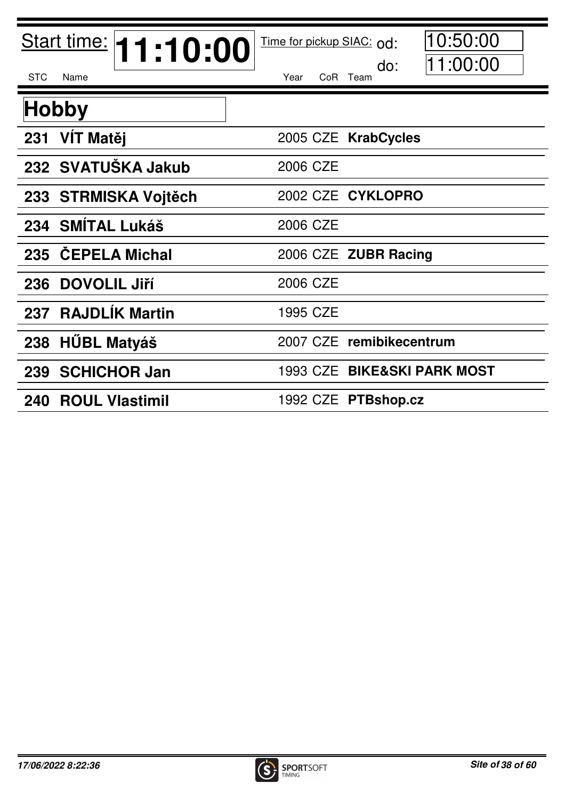| Start time: <b>11:10:00</b> | 10:50:00<br>Time for pickup SIAC: od: |
|-----------------------------|---------------------------------------|
| <b>STC</b><br>Name          | 11:00:00<br>do:<br>Year<br>CoR Team   |
| <b>Hobby</b>                |                                       |
| VÍT Matěj<br>231            | 2005 CZE KrabCycles                   |
| 232 SVATUŠKA Jakub          | 2006 CZE                              |
| 233 STRMISKA Vojtěch        | 2002 CZE CYKLOPRO                     |
| <b>SMÍTAL Lukáš</b><br>234  | 2006 CZE                              |
| 235 CEPELA Michal           | 2006 CZE ZUBR Racing                  |
| <b>DOVOLIL Jiří</b><br>236  | 2006 CZE                              |
| 237 RAJDLIK Martin          | 1995 CZE                              |
| <b>HÜBL Matyáš</b><br>238   | 2007 CZE remibikecentrum              |
| <b>SCHICHOR Jan</b><br>239  | 1993 CZE BIKE&SKI PARK MOST           |
| 240 ROUL Vlastimil          | 1992 CZE PTBshop.cz                   |

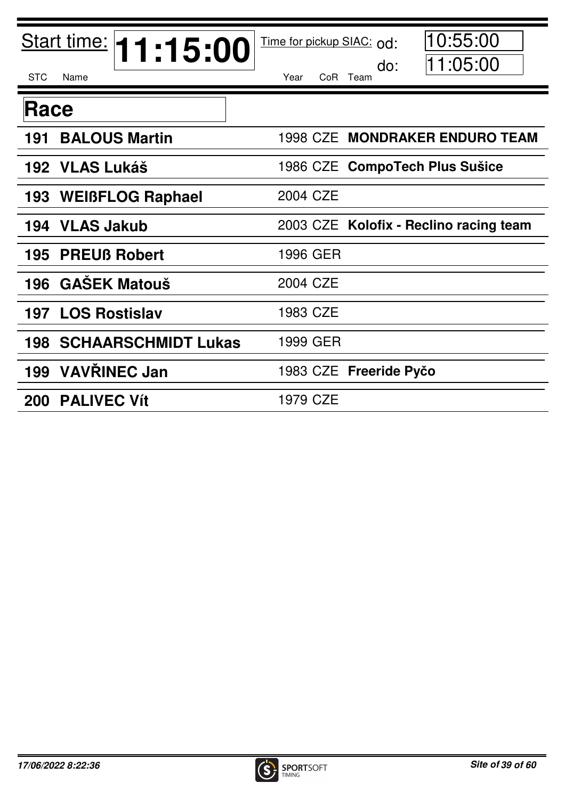| Start time: <b>11:15:00</b>       | 10:55:00<br>Time for pickup SIAC: od:  |
|-----------------------------------|----------------------------------------|
| <b>STC</b><br>Name                | 11:05:00<br>do:<br>Year<br>CoR Team    |
| Race                              |                                        |
| <b>BALOUS Martin</b><br>191       | 1998 CZE MONDRAKER ENDURO TEAM         |
| 192 VLAS Lukáš                    | 1986 CZE CompoTech Plus Sušice         |
| 193 WEIBFLOG Raphael              | 2004 CZE                               |
| <b>VLAS Jakub</b><br>194          | 2003 CZE Kolofix - Reclino racing team |
| <b>PREUß Robert</b><br>195        | 1996 GER                               |
| <b>GAŠEK Matouš</b><br>196        | 2004 CZE                               |
| 197 LOS Rostislav                 | 1983 CZE                               |
| <b>SCHAARSCHMIDT Lukas</b><br>198 | 1999 GER                               |
| <b>VAVŘINEC Jan</b><br>199        | 1983 CZE Freeride Pyčo                 |
| 200 PALIVEC Vít                   | 1979 CZE                               |

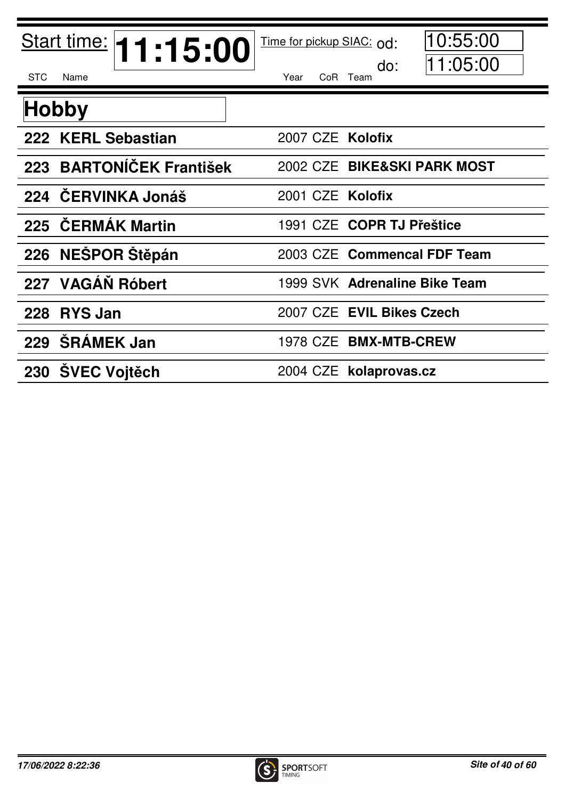| Start time: <b>11:15:00</b> | 10:55:00<br>Time for pickup SIAC: od: |
|-----------------------------|---------------------------------------|
| <b>STC</b><br>Name          | 11:05:00<br>do:<br>Year<br>CoR Team   |
| Hobby                       |                                       |
| 222 KERL Sebastian          | 2007 CZE Kolofix                      |
| 223 BARTONÍČEK František    | 2002 CZE BIKE&SKI PARK MOST           |
| 224 ČERVINKA Jonáš          | 2001 CZE Kolofix                      |
| 225 ČERMÁK Martin           | 1991 CZE COPR TJ Přeštice             |
| 226 NEŠPOR Štěpán           | 2003 CZE Commencal FDF Team           |
| 227 VAGÁŇ Róbert            | 1999 SVK Adrenaline Bike Team         |
| 228 RYS Jan                 | 2007 CZE EVIL Bikes Czech             |
| <b>SRÁMEK Jan</b><br>229    | 1978 CZE BMX-MTB-CREW                 |
| 230 SVEC Voitěch            | 2004 CZE kolaprovas.cz                |

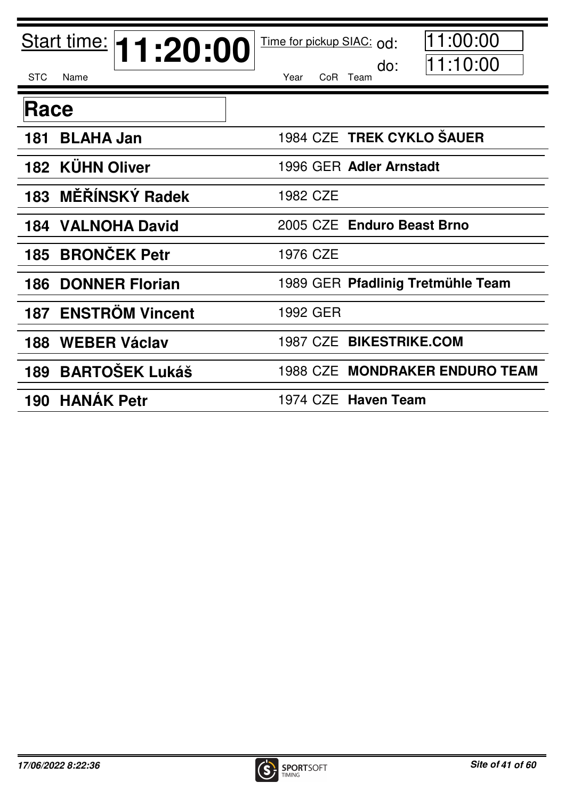| Start time: <b>11:20:00</b>  | 11:00:00<br>Time for pickup SIAC: od:<br>11:10:00<br>do: |
|------------------------------|----------------------------------------------------------|
| Name<br><b>STC</b>           | Year<br>CoR Team                                         |
| Race                         |                                                          |
| <b>BLAHA Jan</b><br>181      | 1984 CZE TREK CYKLO ŠAUER                                |
| <b>182 KÜHN Oliver</b>       | 1996 GER Adler Arnstadt                                  |
| <b>MĚŘÍNSKÝ Radek</b><br>183 | 1982 CZE                                                 |
| <b>VALNOHA David</b><br>184  | 2005 CZE Enduro Beast Brno                               |
| <b>BRONČEK Petr</b><br>185   | 1976 CZE                                                 |
| <b>DONNER Florian</b><br>186 | 1989 GER Pfadlinig Tretmühle Team                        |
| 187 ENSTRÖM Vincent          | 1992 GER                                                 |
| <b>WEBER Václav</b><br>188   | 1987 CZE BIKESTRIKE.COM                                  |
| <b>BARTOŠEK Lukáš</b><br>189 | 1988 CZE MONDRAKER ENDURO TEAM                           |
| 190 HANAK Petr               | 1974 CZE Haven Team                                      |

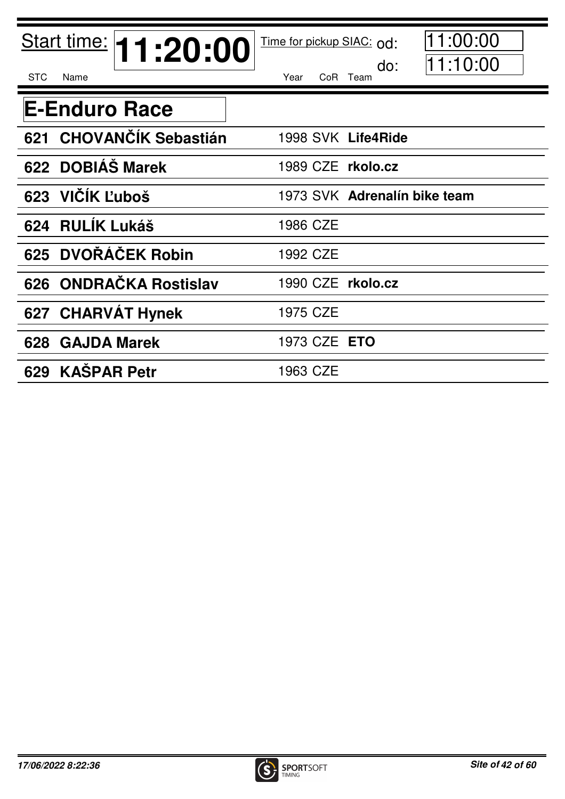| Start time: <b>11:20:00</b>       | 1:00:00<br>Time for pickup SIAC: od: |
|-----------------------------------|--------------------------------------|
| <b>STC</b><br>Name                | 11:10:00<br>do:<br>CoR Team<br>Year  |
| <b>E-Enduro Race</b>              |                                      |
| <b>CHOVANČÍK Sebastián</b><br>621 | 1998 SVK Life4Ride                   |
| 622 DOBIÁS Marek                  | 1989 CZE rkolo.cz                    |
| 623 VIČÍK Ľuboš                   | 1973 SVK Adrenalín bike team         |
| 624 RULIK Lukáš                   | 1986 CZE                             |
| 625 DVOŘÁČEK Robin                | 1992 CZE                             |
| 626 ONDRAČKA Rostislav            | 1990 CZE rkolo.cz                    |
| <b>CHARVAT Hynek</b><br>627       | 1975 CZE                             |
| <b>GAJDA Marek</b><br>628         | 1973 CZE <b>ETO</b>                  |
| 629 KAŠPAR Petr                   | 1963 CZE                             |

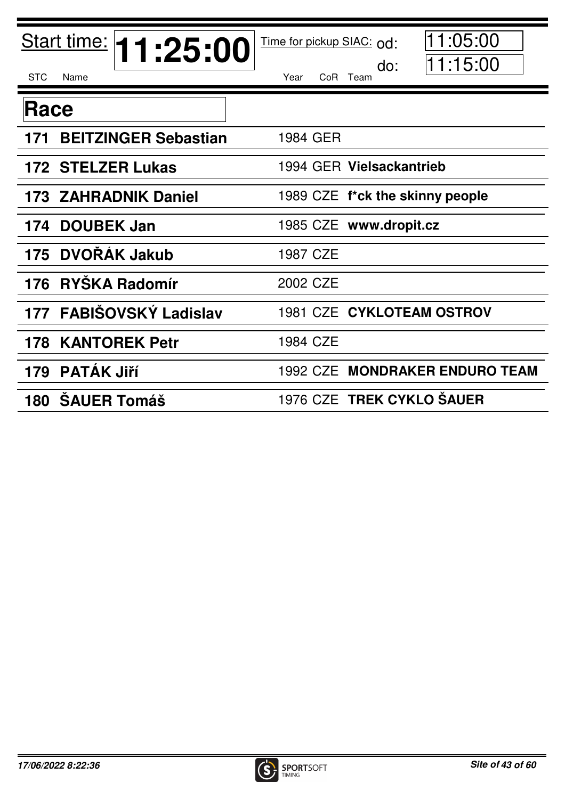| Start time: <b>11:25:00</b>        | 11:05:00<br>Time for pickup SIAC: od:<br>11:15:00<br>do: |
|------------------------------------|----------------------------------------------------------|
| <b>STC</b><br>Name                 | Year<br>CoR Team                                         |
| Race                               |                                                          |
| <b>BEITZINGER Sebastian</b><br>171 | 1984 GER                                                 |
| 172 STELZER Lukas                  | 1994 GER Vielsackantrieb                                 |
| <b>173 ZAHRADNIK Daniel</b>        | 1989 CZE f*ck the skinny people                          |
| <b>DOUBEK Jan</b><br>174           | 1985 CZE www.dropit.cz                                   |
| DVOŘÁK Jakub<br>175                | 1987 CZE                                                 |
| <b>RYŠKA Radomír</b><br>176        | 2002 CZE                                                 |
| 177 FABIŠOVSKÝ Ladislav            | 1981 CZE CYKLOTEAM OSTROV                                |
| <b>KANTOREK Petr</b><br>178        | 1984 CZE                                                 |
| <b>PATÁK Jiří</b><br>179           | 1992 CZE MONDRAKER ENDURO TEAM                           |
| <b>SAUER Tomáš</b><br>180          | 1976 CZE TREK CYKLO ŠAUER                                |

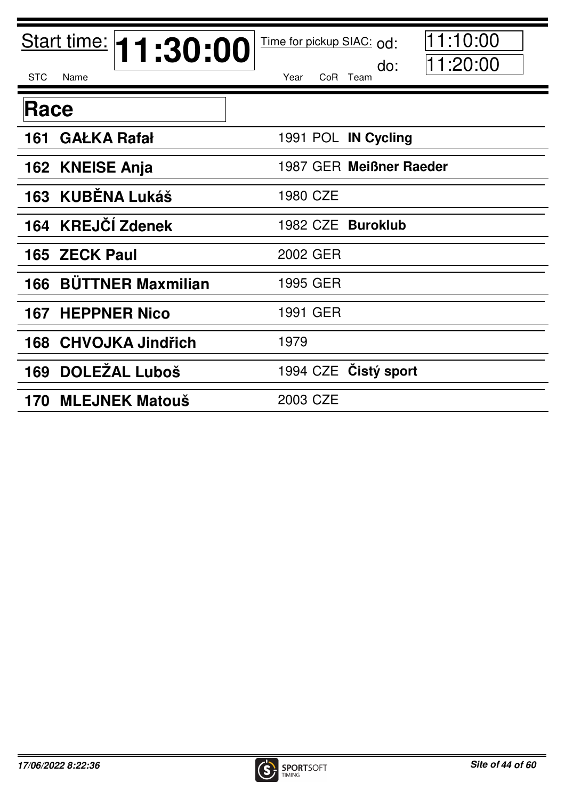| Start time: <b>11:30:00</b>     | 1:10:00<br>Time for pickup SIAC: od:<br>11:20:00<br>do: |
|---------------------------------|---------------------------------------------------------|
| <b>STC</b><br>Name              | Year<br>CoR Team                                        |
| Race                            |                                                         |
| <b>GAŁKA Rafał</b><br>161       | 1991 POL IN Cycling                                     |
| 162 KNEISE Anja                 | 1987 GER Meißner Raeder                                 |
| 163 KUBĚNA Lukáš                | 1980 CZE                                                |
| <b>KREJČÍ Zdenek</b><br>164     | 1982 CZE Buroklub                                       |
| <b>ZECK Paul</b><br>165         | 2002 GER                                                |
| <b>BÜTTNER Maxmilian</b><br>166 | 1995 GER                                                |
| <b>HEPPNER Nico</b><br>167      | 1991 GER                                                |
| <b>CHVOJKA Jindřich</b><br>168  | 1979                                                    |
| <b>DOLEŽAL Luboš</b><br>169     | 1994 CZE Cistý sport                                    |
| <b>MLEJNEK Matouš</b><br>170    | 2003 CZE                                                |

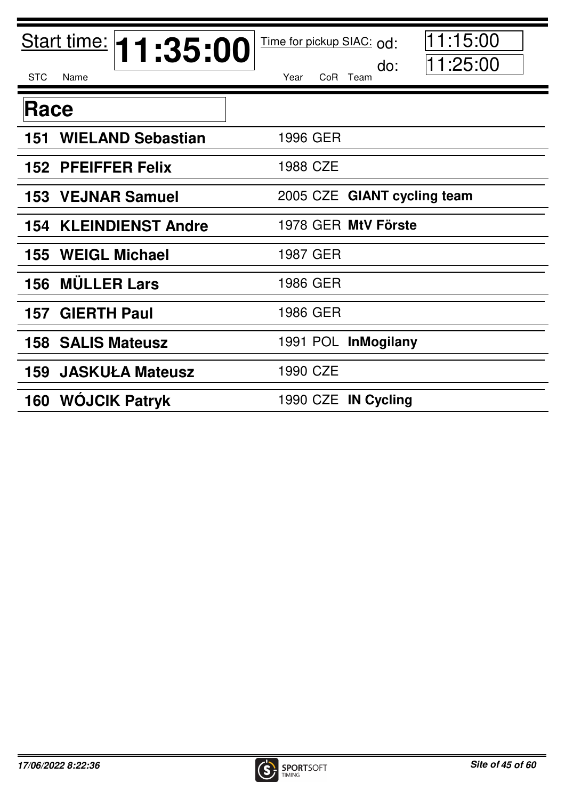| Start time: <b>11:35:00</b>     | 1:15:00<br>Time for pickup SIAC: od: |
|---------------------------------|--------------------------------------|
| <b>STC</b><br>Name              | 11:25:00<br>do:<br>Year<br>CoR Team  |
| Race                            |                                      |
| <b>WIELAND Sebastian</b><br>151 | 1996 GER                             |
| 152 PFEIFFER Felix              | 1988 CZE                             |
| <b>VEJNAR Samuel</b><br>153     | 2005 CZE GIANT cycling team          |
| <b>KLEINDIENST Andre</b><br>154 | 1978 GER MtV Förste                  |
| <b>WEIGL Michael</b><br>155     | 1987 GER                             |
| <b>MÜLLER Lars</b><br>156       | 1986 GER                             |
| <b>GIERTH Paul</b><br>157       | 1986 GER                             |
| <b>158 SALIS Mateusz</b>        | 1991 POL InMogilany                  |
| <b>JASKUŁA Mateusz</b><br>159   | 1990 CZE                             |
| <b>160 WOJCIK Patryk</b>        | 1990 CZE IN Cycling                  |

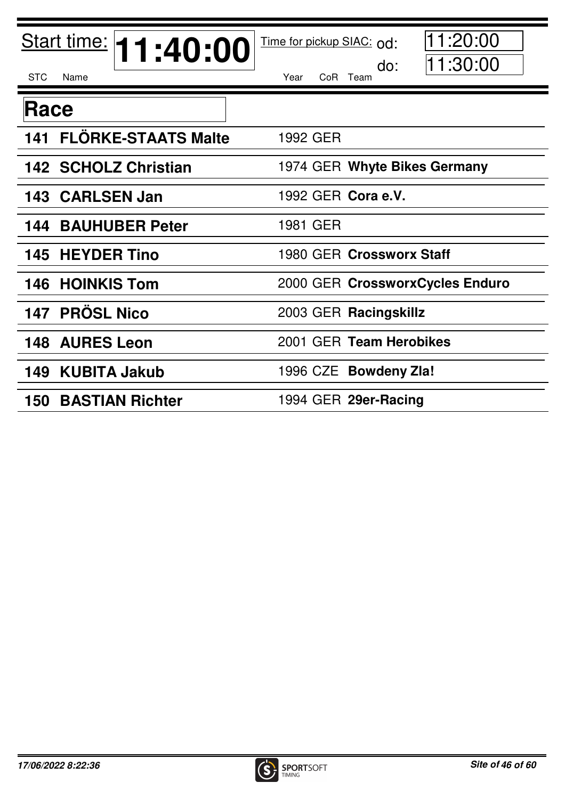| Start time: <b>11:40:00</b>       | 1:20:00<br>Time for pickup SIAC: od:<br>11:30:00<br>do: |
|-----------------------------------|---------------------------------------------------------|
| <b>STC</b><br>Name                | Year<br>CoR Team                                        |
| Race                              |                                                         |
| <b>FLÖRKE-STAATS Malte</b><br>141 | 1992 GER                                                |
| <b>142 SCHOLZ Christian</b>       | 1974 GER Whyte Bikes Germany                            |
| 143 CARLSEN Jan                   | 1992 GER Cora e.V.                                      |
| <b>BAUHUBER Peter</b><br>144      | 1981 GER                                                |
| <b>145 HEYDER Tino</b>            | 1980 GER Crossworx Staff                                |
| <b>146 HOINKIS Tom</b>            | 2000 GER CrossworxCycles Enduro                         |
| <b>PRÖSL Nico</b><br>147          | 2003 GER Racingskillz                                   |
| <b>148 AURES Leon</b>             | 2001 GER Team Herobikes                                 |
| <b>KUBITA Jakub</b><br>149        | 1996 CZE Bowdeny Zla!                                   |
| <b>150 BASTIAN Richter</b>        | 1994 GER 29er-Racing                                    |

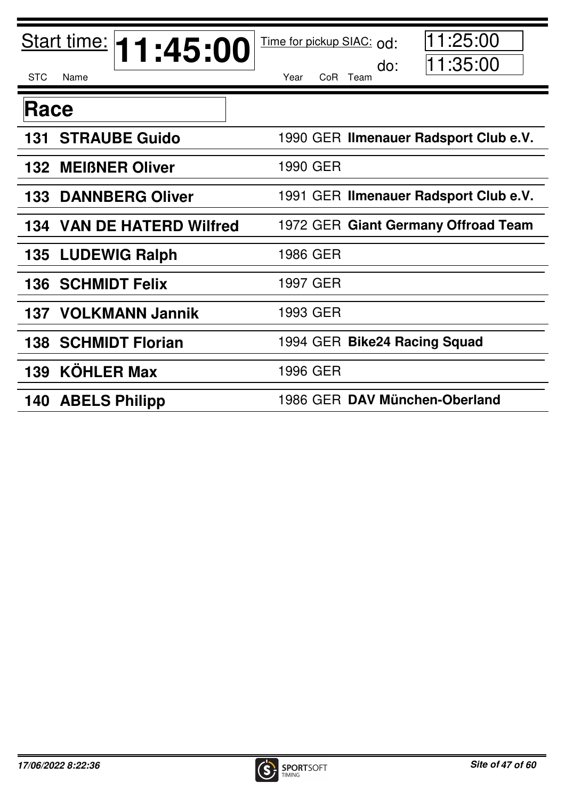| Start time: <b>11:45:00</b>         | 11:25:00<br>Time for pickup SIAC: od: |
|-------------------------------------|---------------------------------------|
| <b>STC</b><br>Name                  | 11:35:00<br>do:<br>CoR Team<br>Year   |
| Race                                |                                       |
| <b>STRAUBE Guido</b><br>131         | 1990 GER Ilmenauer Radsport Club e.V. |
| <b>132 MEIBNER Oliver</b>           | 1990 GER                              |
| <b>DANNBERG Oliver</b><br>133       | 1991 GER Ilmenauer Radsport Club e.V. |
| <b>VAN DE HATERD Wilfred</b><br>134 | 1972 GER Giant Germany Offroad Team   |
| <b>LUDEWIG Ralph</b><br>135         | 1986 GER                              |
| <b>SCHMIDT Felix</b><br>136         | 1997 GER                              |
| <b>137 VOLKMANN Jannik</b>          | 1993 GER                              |
| <b>SCHMIDT Florian</b><br>138       | 1994 GER Bike24 Racing Squad          |
| <b>KÖHLER Max</b><br>139            | 1996 GER                              |
| 140 ABELS Philipp                   | 1986 GER DAV München-Oberland         |

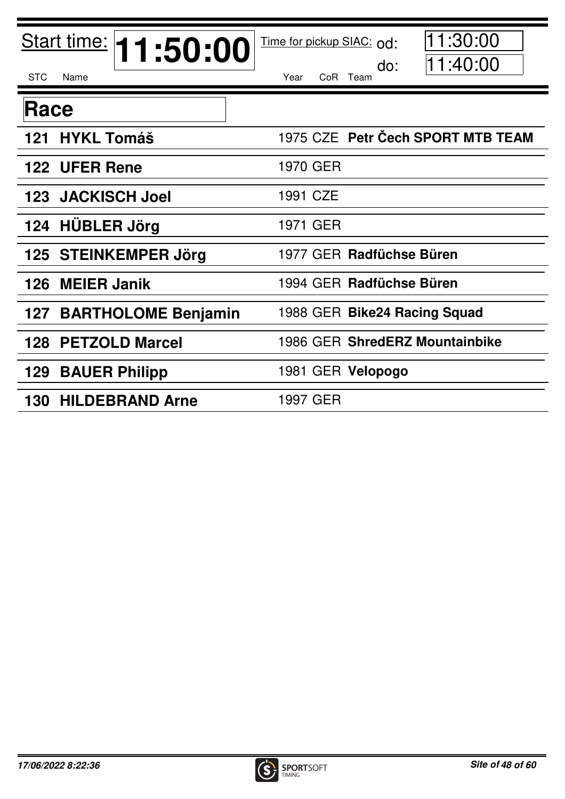| Start time: <b>11:50:00</b>       | 1:30:00<br>Time for pickup SIAC: od: |
|-----------------------------------|--------------------------------------|
| <b>STC</b><br>Name                | 11:40:00<br>do:<br>CoR Team<br>Year  |
| Race                              |                                      |
| <b>HYKL Tomáš</b><br>121          | 1975 CZE Petr Čech SPORT MTB TEAM    |
| 122 UFER Rene                     | 1970 GER                             |
| <b>JACKISCH Joel</b><br>123       | 1991 CZE                             |
| <b>HÜBLER Jörg</b><br>124         | 1971 GER                             |
| 125 STEINKEMPER Jörg              | 1977 GER Radfüchse Büren             |
| <b>MEIER Janik</b><br>126         | 1994 GER Radfüchse Büren             |
| <b>BARTHOLOME Benjamin</b><br>127 | 1988 GER Bike24 Racing Squad         |
| <b>PETZOLD Marcel</b><br>128      | 1986 GER ShredERZ Mountainbike       |
| <b>BAUER Philipp</b><br>129       | 1981 GER Velopogo                    |
| <b>HILDEBRAND Arne</b><br>130     | 1997 GER                             |

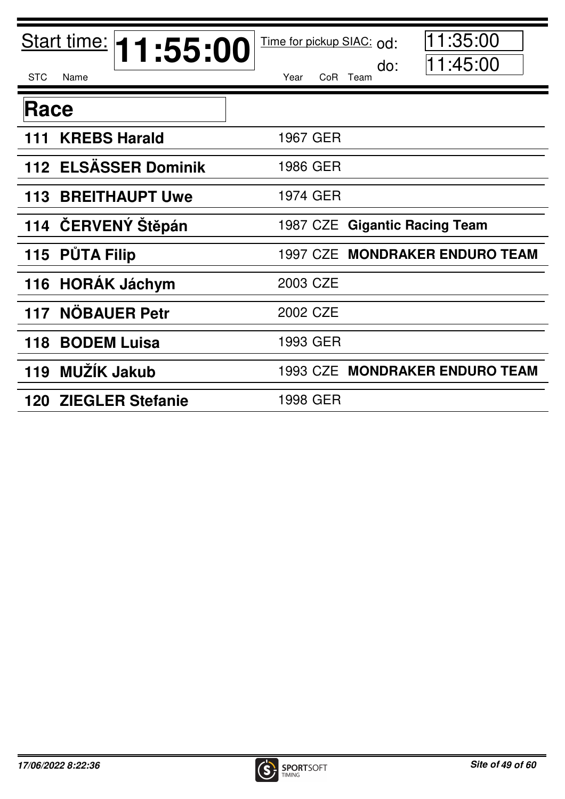| Start time: <b>11:55:00</b>  | 1:35:00<br>Time for pickup SIAC: od:   |
|------------------------------|----------------------------------------|
| <b>STC</b><br>Name           | 11:45:00<br>do:<br>Year<br>CoR<br>Team |
| Race                         |                                        |
| <b>KREBS Harald</b><br>111   | 1967 GER                               |
| 112 ELSÄSSER Dominik         | 1986 GER                               |
| 113<br><b>BREITHAUPT Uwe</b> | 1974 GER                               |
| 114 ČERVENÝ Štěpán           | 1987 CZE Gigantic Racing Team          |
| 115 PŮTA Filip               | 1997 CZE MONDRAKER ENDURO TEAM         |
| <b>HORÁK Jáchym</b><br>116   | 2003 CZE                               |
| <b>NÖBAUER Petr</b><br>117   | 2002 CZE                               |
| <b>BODEM Luisa</b><br>118    | 1993 GER                               |
| MUŽÍK Jakub<br>119           | 1993 CZE MONDRAKER ENDURO TEAM         |
| <b>120 ZIEGLER Stefanie</b>  | 1998 GER                               |

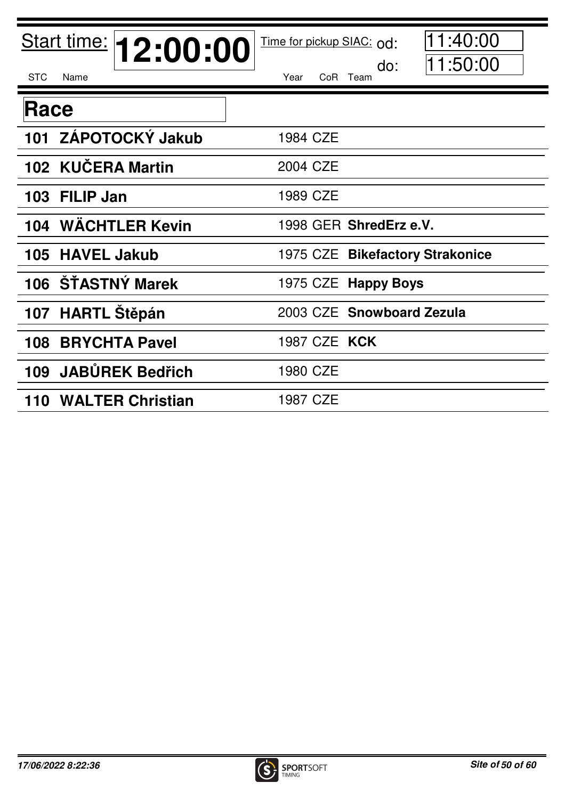| Start time: <b>12:00:00</b> | 1:40:00<br>Time for pickup SIAC: od: |
|-----------------------------|--------------------------------------|
| <b>STC</b><br>Name          | 11:50:00<br>do:<br>Year<br>CoR Team  |
| Race                        |                                      |
| 101 ZÁPOTOCKÝ Jakub         | 1984 CZE                             |
| 102 KUČERA Martin           | 2004 CZE                             |
| 103 FILIP Jan               | 1989 CZE                             |
| 104 WÄCHTLER Kevin          | 1998 GER ShredErz e.V.               |
| 105 HAVEL Jakub             | 1975 CZE Bikefactory Strakonice      |
| 106 ŠŤASTNÝ Marek           | 1975 CZE Happy Boys                  |
| 107 HARTL Stěpán            | 2003 CZE Snowboard Zezula            |
| <b>BRYCHTA Pavel</b><br>108 | 1987 CZE KCK                         |
| 109 JABŮREK Bedřich         | 1980 CZE                             |
| 110 WALTER Christian        | 1987 CZE                             |

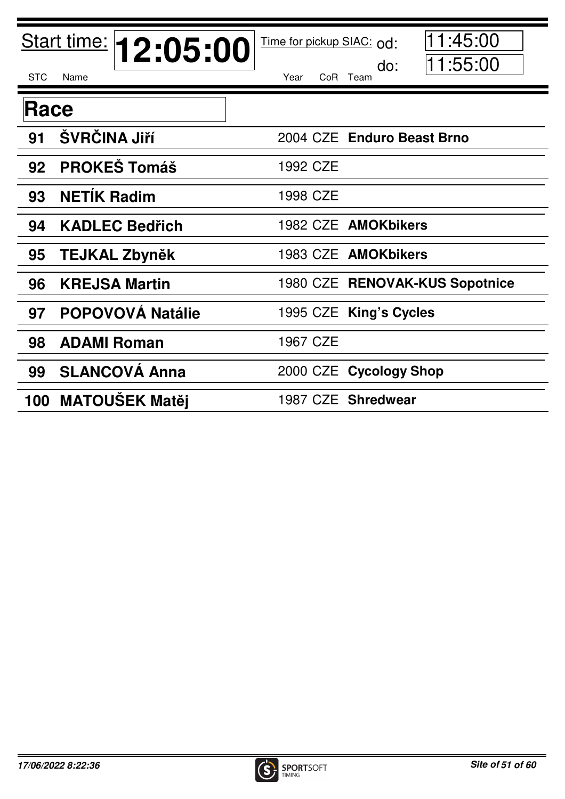|            | Start time: <b>12:05:00</b> | 11:45:00<br>Time for pickup SIAC: od: |
|------------|-----------------------------|---------------------------------------|
| <b>STC</b> | Name                        | 11:55:00<br>do:<br>Year<br>CoR Team   |
| Race       |                             |                                       |
| 91         | ŠVRČINA Jiří                | 2004 CZE Enduro Beast Brno            |
| 92         | <b>PROKEŠ Tomáš</b>         | 1992 CZE                              |
| 93         | <b>NETÍK Radim</b>          | 1998 CZE                              |
| 94         | <b>KADLEC Bedřich</b>       | 1982 CZE AMOKbikers                   |
| 95         | <b>TEJKAL Zbyněk</b>        | 1983 CZE AMOKbikers                   |
| 96         | <b>KREJSA Martin</b>        | 1980 CZE RENOVAK-KUS Sopotnice        |
| 97         | <b>POPOVOVÁ Natálie</b>     | 1995 CZE King's Cycles                |
| 98         | <b>ADAMI Roman</b>          | 1967 CZE                              |
| 99         | <b>SLANCOVÁ Anna</b>        | 2000 CZE Cycology Shop                |
|            | 100 MATOUŠEK Matěj          | 1987 CZE Shredwear                    |

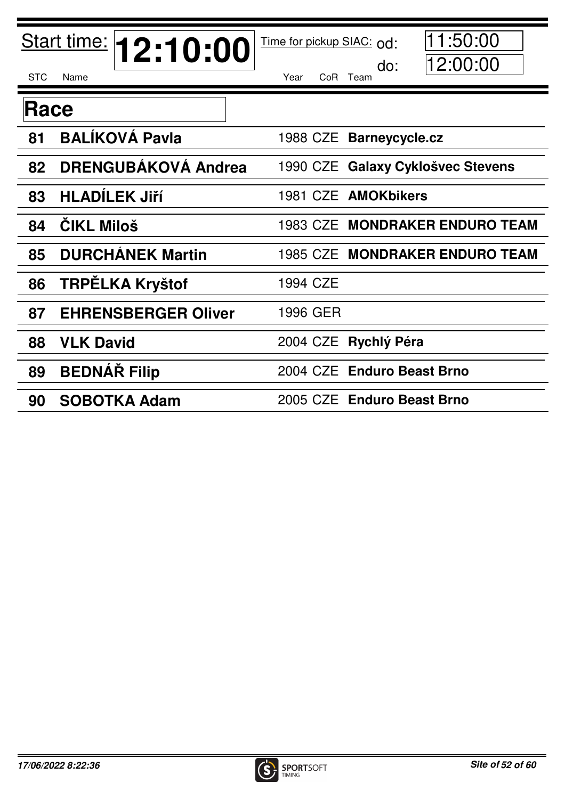|            | Start time: <b>12:10:00</b> | Time for pickup SIAC: od: | 1:50:00                               |
|------------|-----------------------------|---------------------------|---------------------------------------|
| <b>STC</b> | Name                        | Year                      | 12:00:00<br>do:<br>CoR Team           |
| Race       |                             |                           |                                       |
| 81         | <b>BALÍKOVÁ Pavla</b>       |                           | 1988 CZE Barneycycle.cz               |
| 82         | <b>DRENGUBÁKOVÁ Andrea</b>  | 1990 CZE                  | <b>Galaxy Cyklošvec Stevens</b>       |
| 83         | <b>HLADÍLEK Jiří</b>        |                           | 1981 CZE AMOKbikers                   |
| 84         | <b>ČIKL Miloš</b>           |                           | <b>1983 CZE MONDRAKER ENDURO TEAM</b> |
| 85         | <b>DURCHÁNEK Martin</b>     |                           | 1985 CZE MONDRAKER ENDURO TEAM        |
| 86         | <b>TRPĖLKA Kryštof</b>      | 1994 CZE                  |                                       |
| 87         | <b>EHRENSBERGER Oliver</b>  | 1996 GER                  |                                       |
| 88         | <b>VLK David</b>            | 2004 CZE                  | Rychlý Péra                           |
| 89         | <b>BEDNAR Filip</b>         |                           | 2004 CZE Enduro Beast Brno            |
| 90         | <b>SOBOTKA Adam</b>         | 2005 CZE                  | <b>Enduro Beast Brno</b>              |

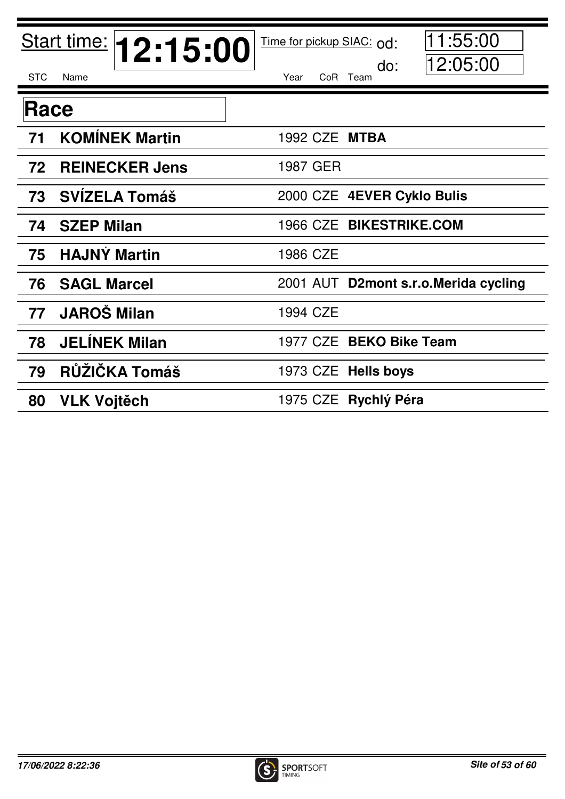|            | Start time: <b>12:15:00</b> | 11:55:00<br>Time for pickup SIAC: od: |
|------------|-----------------------------|---------------------------------------|
| <b>STC</b> | Name                        | 12:05:00<br>do:<br>Year<br>CoR Team   |
| Race       |                             |                                       |
| 71         | <b>KOMÍNEK Martin</b>       | 1992 CZE MTBA                         |
| 72         | <b>REINECKER Jens</b>       | 1987 GER                              |
| 73         | <b>SVÍZELA Tomáš</b>        | 2000 CZE 4EVER Cyklo Bulis            |
| 74         | <b>SZEP Milan</b>           | 1966 CZE BIKESTRIKE.COM               |
| 75         | <b>HAJNÝ Martin</b>         | 1986 CZE                              |
| 76         | <b>SAGL Marcel</b>          | 2001 AUT D2mont s.r.o. Merida cycling |
| 77         | <b>JAROŠ Milan</b>          | 1994 CZE                              |
| 78         | <b>JELINEK Milan</b>        | 1977 CZE BEKO Bike Team               |
| 79         | RŮŽIČKA Tomáš               | 1973 CZE Hells boys                   |
| 80         | <b>VLK Vojtěch</b>          | 1975 CZE Rychlý Péra                  |

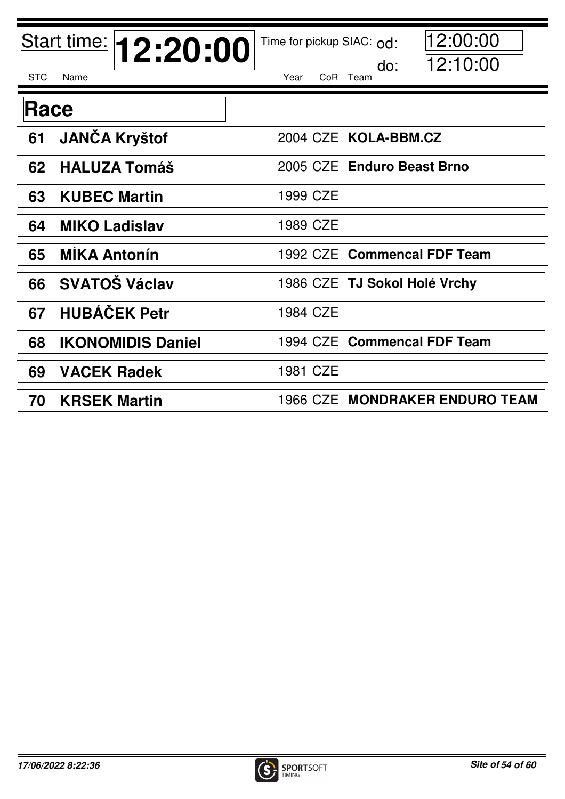|            | Start time: <b>12:20:00</b> | 12:00:00<br>Time for pickup SIAC: od:  |
|------------|-----------------------------|----------------------------------------|
| <b>STC</b> | Name                        | 12:10:00<br>do:<br>Year<br>CoR<br>Team |
| Race       |                             |                                        |
| 61         | <b>JANČA Kryštof</b>        | 2004 CZE KOLA-BBM.CZ                   |
| 62         | <b>HALUZA Tomáš</b>         | 2005 CZE Enduro Beast Brno             |
| 63         | <b>KUBEC Martin</b>         | 1999 CZE                               |
| 64         | <b>MIKO Ladislav</b>        | 1989 CZE                               |
| 65         | <b>MÍKA Antonín</b>         | 1992 CZE Commencal FDF Team            |
| 66         | <b>SVATOŠ Václav</b>        | 1986 CZE TJ Sokol Holé Vrchy           |
| 67         | <b>HUBÁČEK Petr</b>         | 1984 CZE                               |
| 68         | <b>IKONOMIDIS Daniel</b>    | 1994 CZE Commencal FDF Team            |
| 69         | <b>VACEK Radek</b>          | 1981 CZE                               |
| 70         | <b>KRSEK Martin</b>         | 1966 CZE MONDRAKER ENDURO TEAM         |

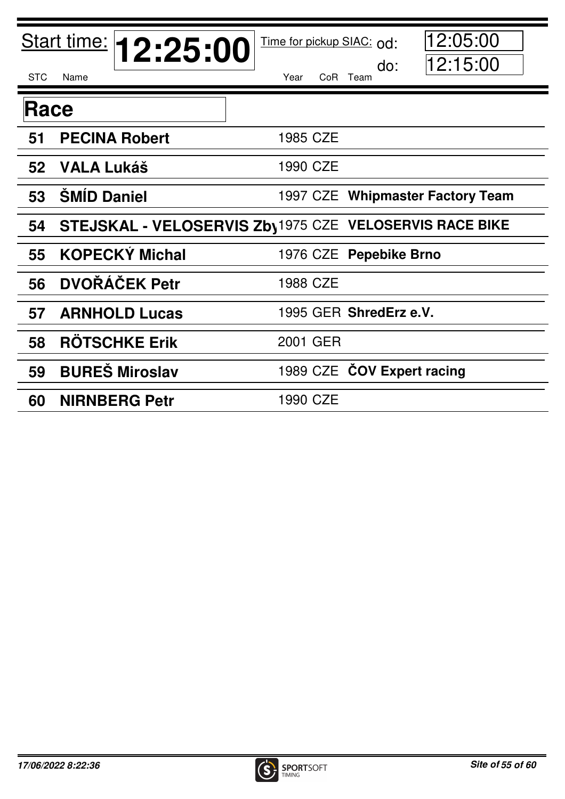| <b>STC</b> | Start time: <b>12:25:00</b><br>Name | 12:05:00<br>Time for pickup SIAC: od:<br>12:15:00<br>do:<br>Year<br>CoR Team |
|------------|-------------------------------------|------------------------------------------------------------------------------|
| Race       |                                     |                                                                              |
|            |                                     |                                                                              |
| 51         | <b>PECINA Robert</b>                | 1985 CZE                                                                     |
|            | 52 VALA Lukáš                       | 1990 CZE                                                                     |
| 53         | <b>ŠMÍD Daniel</b>                  | 1997 CZE Whipmaster Factory Team                                             |
| 54         |                                     | <b>STEJSKAL - VELOSERVIS Zby1975 CZE VELOSERVIS RACE BIKE</b>                |
| 55         | <b>KOPECKÝ Michal</b>               | 1976 CZE Pepebike Brno                                                       |
| 56         | <b>DVOŘÁČEK Petr</b>                | 1988 CZE                                                                     |
| 57         | <b>ARNHOLD Lucas</b>                | 1995 GER ShredErz e.V.                                                       |
| 58         | <b>ROTSCHKE Erik</b>                | 2001 GER                                                                     |
| 59         | <b>BURES Miroslav</b>               | 1989 CZE COV Expert racing                                                   |
| 60         | <b>NIRNBERG Petr</b>                | 1990 CZE                                                                     |

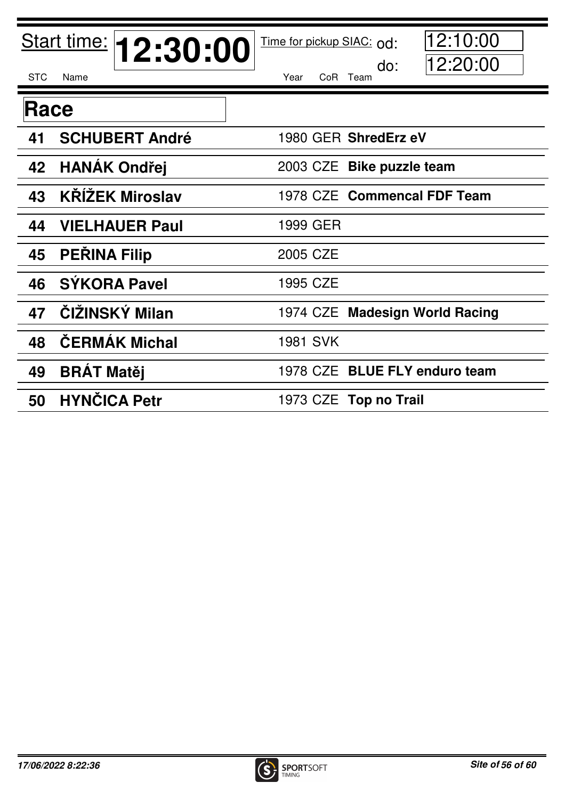|            | Start time: <b>12:30:00</b> | 12:10:00<br>Time for pickup SIAC: od: |
|------------|-----------------------------|---------------------------------------|
| <b>STC</b> | Name                        | 12:20:00<br>do:<br>Year<br>CoR Team   |
| Race       |                             |                                       |
| 41         | <b>SCHUBERT André</b>       | 1980 GER ShredErz eV                  |
| 42         | <b>HANAK Ondřej</b>         | 2003 CZE Bike puzzle team             |
| 43         | <b>KŘÍŽEK Miroslav</b>      | 1978 CZE Commencal FDF Team           |
| 44         | <b>VIELHAUER Paul</b>       | 1999 GER                              |
| 45         | <b>PEŘINA Filip</b>         | 2005 CZE                              |
| 46         | <b>SÝKORA Pavel</b>         | 1995 CZE                              |
| 47         | ČIŽINSKÝ Milan              | 1974 CZE Madesign World Racing        |
| 48         | <b>CERMAK Michal</b>        | <b>1981 SVK</b>                       |
| 49         | <b>BRAT Matěj</b>           | 1978 CZE BLUE FLY enduro team         |
| 50         | <b>HYNČICA Petr</b>         | 1973 CZE Top no Trail                 |

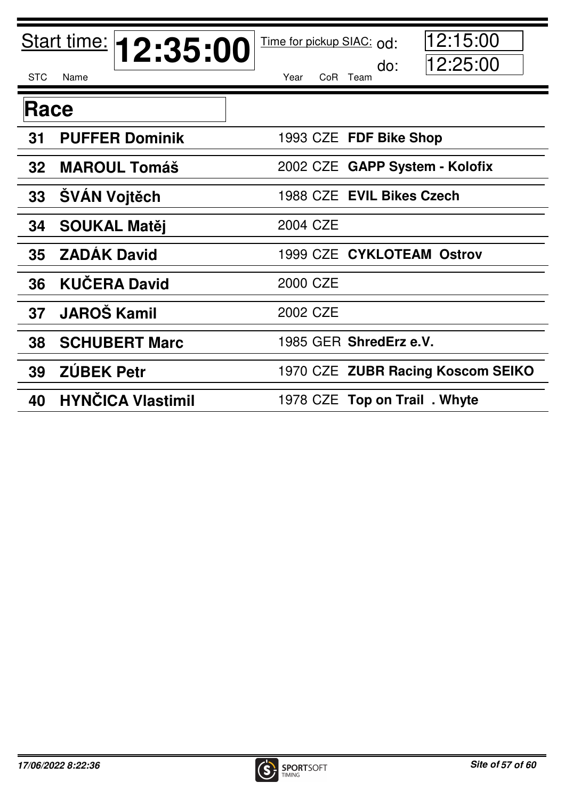|                 | Start time: <b>12:35:00</b> | 12:15:00<br>Time for pickup SIAC: od: |
|-----------------|-----------------------------|---------------------------------------|
| <b>STC</b>      | Name                        | 12:25:00<br>do:<br>Year<br>CoR Team   |
| Race            |                             |                                       |
| 31              | <b>PUFFER Dominik</b>       | 1993 CZE FDF Bike Shop                |
| 32 <sub>2</sub> | <b>MAROUL Tomáš</b>         | 2002 CZE GAPP System - Kolofix        |
| 33              | <b>ŠVÁN Vojtěch</b>         | 1988 CZE EVIL Bikes Czech             |
| 34              | <b>SOUKAL Matěj</b>         | 2004 CZE                              |
| 35              | <b>ZADÁK David</b>          | 1999 CZE CYKLOTEAM Ostrov             |
| 36              | <b>KUČERA David</b>         | 2000 CZE                              |
| 37              | <b>JAROŠ Kamil</b>          | 2002 CZE                              |
| 38              | <b>SCHUBERT Marc</b>        | 1985 GER ShredErz e.V.                |
| 39              | <b>ZÚBEK Petr</b>           | 1970 CZE ZUBR Racing Koscom SEIKO     |
| 40              | <b>HYNČICA Vlastimil</b>    | 1978 CZE Top on Trail. Whyte          |

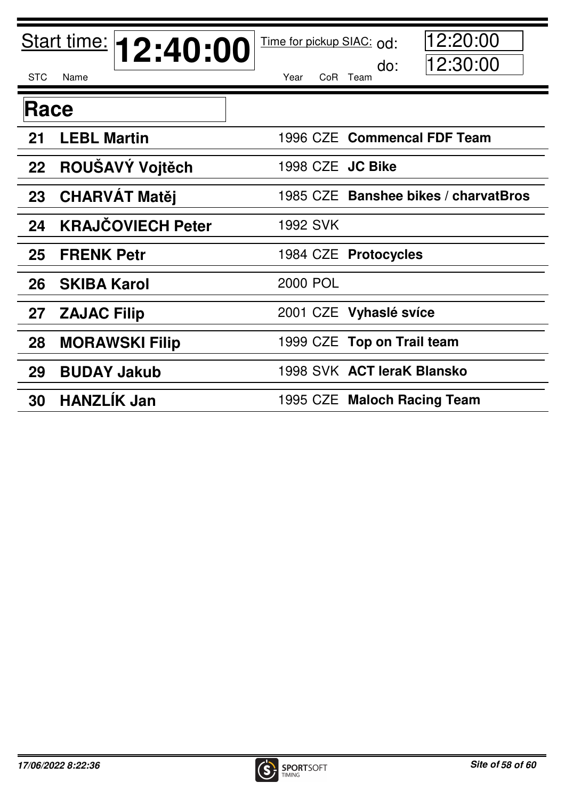|             | Start time: <b>12:40:00</b> | 12:20:00<br>Time for pickup SIAC: od: |
|-------------|-----------------------------|---------------------------------------|
| <b>STC</b>  | Name                        | 12:30:00<br>do:<br>Year<br>CoR Team   |
| <b>Race</b> |                             |                                       |
| 21          | <b>LEBL Martin</b>          | 1996 CZE Commencal FDF Team           |
| 22          | ROUŠAVÝ Vojtěch             | 1998 CZE JC Bike                      |
| 23          | <b>CHARVAT Matěj</b>        | 1985 CZE Banshee bikes / charvatBros  |
| 24          | <b>KRAJČOVIECH Peter</b>    | <b>1992 SVK</b>                       |
| 25          | <b>FRENK Petr</b>           | 1984 CZE Protocycles                  |
| 26          | <b>SKIBA Karol</b>          | <b>2000 POL</b>                       |
| 27          | <b>ZAJAC Filip</b>          | 2001 CZE Vyhaslé svíce                |
| 28          | <b>MORAWSKI Filip</b>       | 1999 CZE Top on Trail team            |
| 29          | <b>BUDAY Jakub</b>          | 1998 SVK ACT leraK Blansko            |
| 30          | <b>HANZLIK Jan</b>          | 1995 CZE Maloch Racing Team           |

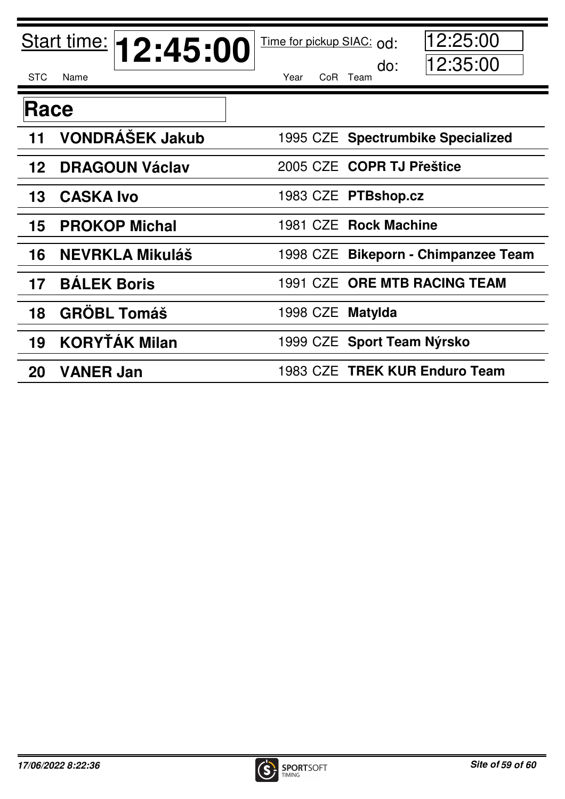|            | Start time: <b>12:45:00</b> | Time for pickup SIAC: od: | 12:25:00                            |
|------------|-----------------------------|---------------------------|-------------------------------------|
| <b>STC</b> | Name                        | Year                      | 12:35:00<br>do:<br>CoR Team         |
| Race       |                             |                           |                                     |
| 11         | <b>VONDRÁŠEK Jakub</b>      |                           | 1995 CZE Spectrumbike Specialized   |
| 12         | <b>DRAGOUN Václav</b>       |                           | 2005 CZE COPR TJ Přeštice           |
| 13         | <b>CASKA Ivo</b>            |                           | 1983 CZE PTBshop.cz                 |
| 15         | <b>PROKOP Michal</b>        |                           | 1981 CZE Rock Machine               |
| 16         | <b>NEVRKLA Mikuláš</b>      |                           | 1998 CZE Bikeporn - Chimpanzee Team |
| 17         | <b>BÁLEK Boris</b>          |                           | 1991 CZE ORE MTB RACING TEAM        |
| 18         | <b>GRÖBL Tomáš</b>          | 1998 CZE Matylda          |                                     |
| 19         | <b>KORYŤÁK Milan</b>        |                           | 1999 CZE Sport Team Nýrsko          |
| 20         | <b>VANER Jan</b>            |                           | 1983 CZE TREK KUR Enduro Team       |